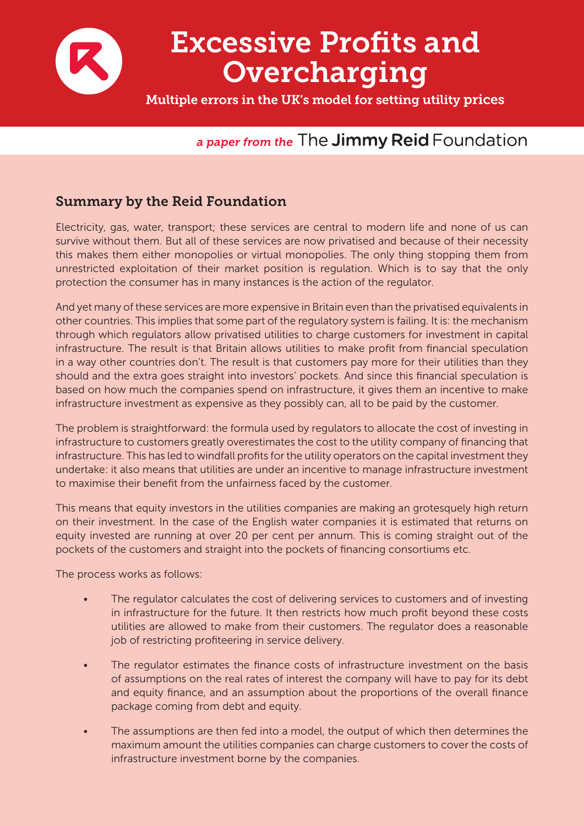

# Excessive Profits and Overcharging

Multiple errors in the UK's model for setting utility prices

# *a paper from the* The **Jimmy Reid** Foundation

# Summary by the Reid Foundation

Electricity, gas, water, transport; these services are central to modern life and none of us can survive without them. But all of these services are now privatised and because of their necessity this makes them either monopolies or virtual monopolies. The only thing stopping them from unrestricted exploitation of their market position is regulation. Which is to say that the only protection the consumer has in many instances is the action of the regulator.

And yet many of these services are more expensive in Britain even than the privatised equivalents in other countries. This implies that some part of the regulatory system is failing. It is: the mechanism through which regulators allow privatised utilities to charge customers for investment in capital infrastructure. The result is that Britain allows utilities to make profit from financial speculation in a way other countries don't. The result is that customers pay more for their utilities than they should and the extra goes straight into investors' pockets. And since this financial speculation is based on how much the companies spend on infrastructure, it gives them an incentive to make infrastructure investment as expensive as they possibly can, all to be paid by the customer.

The problem is straightforward: the formula used by regulators to allocate the cost of investing in infrastructure to customers greatly overestimates the cost to the utility company of financing that infrastructure. This has led to windfall profits for the utility operators on the capital investment they undertake: it also means that utilities are under an incentive to manage infrastructure investment to maximise their benefit from the unfairness faced by the customer.

This means that equity investors in the utilities companies are making an grotesquely high return on their investment. In the case of the English water companies it is estimated that returns on equity invested are running at over 20 per cent per annum. This is coming straight out of the pockets of the customers and straight into the pockets of financing consortiums etc.

The process works as follows:

- The regulator calculates the cost of delivering services to customers and of investing in infrastructure for the future. It then restricts how much profit beyond these costs utilities are allowed to make from their customers. The regulator does a reasonable job of restricting profiteering in service delivery.
- The regulator estimates the finance costs of infrastructure investment on the basis of assumptions on the real rates of interest the company will have to pay for its debt and equity finance, and an assumption about the proportions of the overall finance package coming from debt and equity.
- The assumptions are then fed into a model, the output of which then determines the maximum amount the utilities companies can charge customers to cover the costs of infrastructure investment borne by the companies.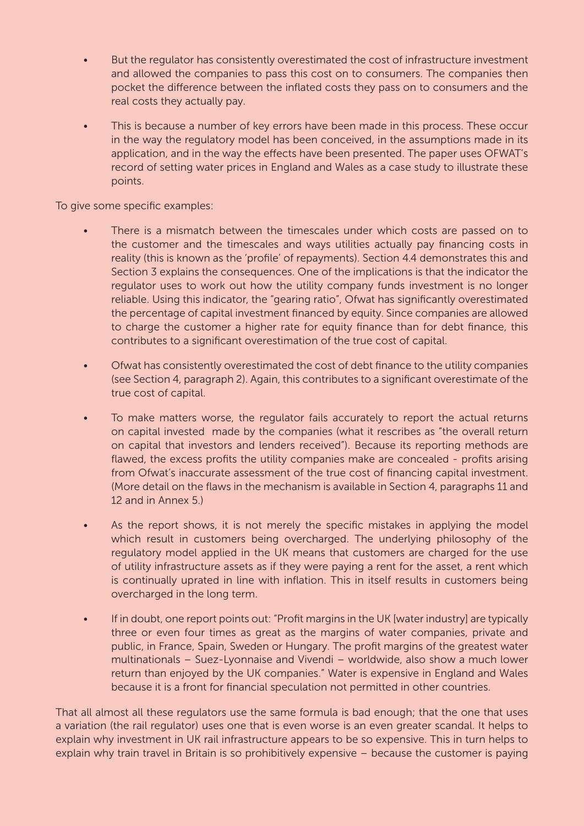- But the regulator has consistently overestimated the cost of infrastructure investment and allowed the companies to pass this cost on to consumers. The companies then pocket the difference between the inflated costs they pass on to consumers and the real costs they actually pay.
- This is because a number of key errors have been made in this process. These occur in the way the regulatory model has been conceived, in the assumptions made in its application, and in the way the effects have been presented. The paper uses OFWAT's record of setting water prices in England and Wales as a case study to illustrate these points.

To give some specific examples:

- There is a mismatch between the timescales under which costs are passed on to the customer and the timescales and ways utilities actually pay financing costs in reality (this is known as the 'profile' of repayments). Section 4.4 demonstrates this and Section 3 explains the consequences. One of the implications is that the indicator the regulator uses to work out how the utility company funds investment is no longer reliable. Using this indicator, the "gearing ratio", Ofwat has significantly overestimated the percentage of capital investment financed by equity. Since companies are allowed to charge the customer a higher rate for equity finance than for debt finance, this contributes to a significant overestimation of the true cost of capital.
- Of wat has consistently overestimated the cost of debt finance to the utility companies (see Section 4, paragraph 2). Again, this contributes to a significant overestimate of the true cost of capital.
- To make matters worse, the regulator fails accurately to report the actual returns on capital invested made by the companies (what it rescribes as "the overall return on capital that investors and lenders received"). Because its reporting methods are flawed, the excess profits the utility companies make are concealed - profits arising from Ofwat's inaccurate assessment of the true cost of financing capital investment. (More detail on the flaws in the mechanism is available in Section 4, paragraphs 11 and 12 and in Annex 5.)
- As the report shows, it is not merely the specific mistakes in applying the model which result in customers being overcharged. The underlying philosophy of the regulatory model applied in the UK means that customers are charged for the use of utility infrastructure assets as if they were paying a rent for the asset, a rent which is continually uprated in line with inflation. This in itself results in customers being overcharged in the long term.
- If in doubt, one report points out: "Profit margins in the UK [water industry] are typically three or even four times as great as the margins of water companies, private and public, in France, Spain, Sweden or Hungary. The profit margins of the greatest water multinationals – Suez-Lyonnaise and Vivendi – worldwide, also show a much lower return than enjoyed by the UK companies." Water is expensive in England and Wales because it is a front for financial speculation not permitted in other countries.

That all almost all these regulators use the same formula is bad enough; that the one that uses a variation (the rail regulator) uses one that is even worse is an even greater scandal. It helps to explain why investment in UK rail infrastructure appears to be so expensive. This in turn helps to explain why train travel in Britain is so prohibitively expensive – because the customer is paying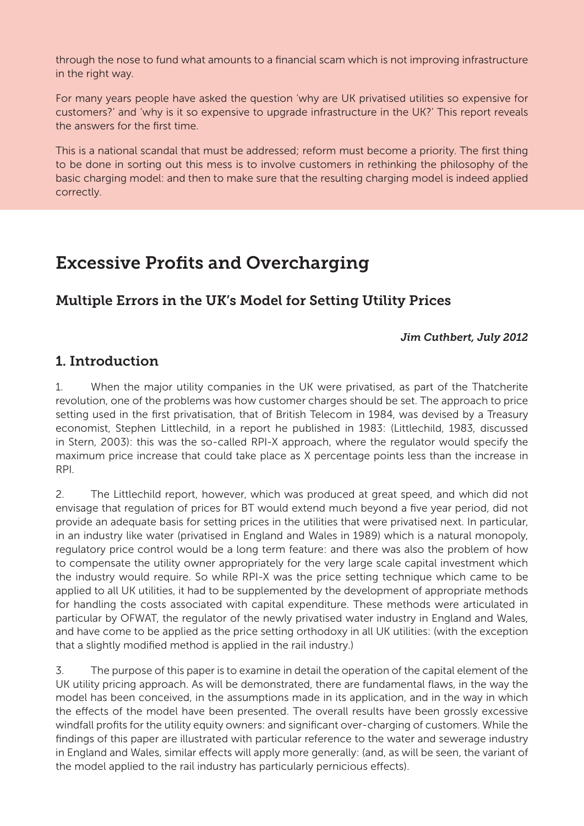through the nose to fund what amounts to a financial scam which is not improving infrastructure in the right way.

For many years people have asked the question 'why are UK privatised utilities so expensive for customers?' and 'why is it so expensive to upgrade infrastructure in the UK?' This report reveals the answers for the first time.

This is a national scandal that must be addressed; reform must become a priority. The first thing to be done in sorting out this mess is to involve customers in rethinking the philosophy of the basic charging model: and then to make sure that the resulting charging model is indeed applied correctly.

# Excessive Profits and Overcharging

# Multiple Errors in the UK's Model for Setting Utility Prices

#### *Jim Cuthbert, July 2012*

## 1. Introduction

1. When the major utility companies in the UK were privatised, as part of the Thatcherite revolution, one of the problems was how customer charges should be set. The approach to price setting used in the first privatisation, that of British Telecom in 1984, was devised by a Treasury economist, Stephen Littlechild, in a report he published in 1983: (Littlechild, 1983, discussed in Stern, 2003): this was the so-called RPI-X approach, where the regulator would specify the maximum price increase that could take place as X percentage points less than the increase in RPI.

2. The Littlechild report, however, which was produced at great speed, and which did not envisage that regulation of prices for BT would extend much beyond a five year period, did not provide an adequate basis for setting prices in the utilities that were privatised next. In particular, in an industry like water (privatised in England and Wales in 1989) which is a natural monopoly, regulatory price control would be a long term feature: and there was also the problem of how to compensate the utility owner appropriately for the very large scale capital investment which the industry would require. So while RPI-X was the price setting technique which came to be applied to all UK utilities, it had to be supplemented by the development of appropriate methods for handling the costs associated with capital expenditure. These methods were articulated in particular by OFWAT, the regulator of the newly privatised water industry in England and Wales, and have come to be applied as the price setting orthodoxy in all UK utilities: (with the exception that a slightly modified method is applied in the rail industry.)

3. The purpose of this paper is to examine in detail the operation of the capital element of the UK utility pricing approach. As will be demonstrated, there are fundamental flaws, in the way the model has been conceived, in the assumptions made in its application, and in the way in which the effects of the model have been presented. The overall results have been grossly excessive windfall profits for the utility equity owners: and significant over-charging of customers. While the findings of this paper are illustrated with particular reference to the water and sewerage industry in England and Wales, similar effects will apply more generally: (and, as will be seen, the variant of the model applied to the rail industry has particularly pernicious effects).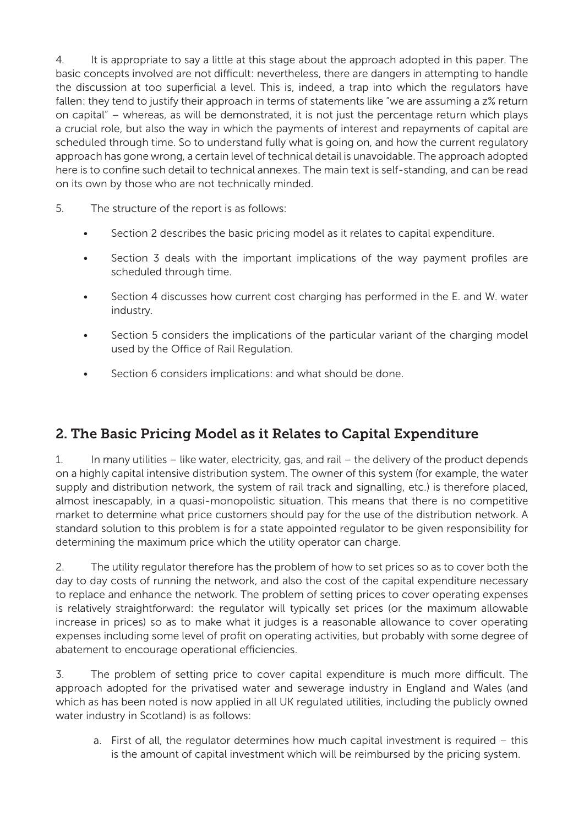4. It is appropriate to say a little at this stage about the approach adopted in this paper. The basic concepts involved are not difficult: nevertheless, there are dangers in attempting to handle the discussion at too superficial a level. This is, indeed, a trap into which the regulators have fallen: they tend to justify their approach in terms of statements like "we are assuming a z% return on capital" – whereas, as will be demonstrated, it is not just the percentage return which plays a crucial role, but also the way in which the payments of interest and repayments of capital are scheduled through time. So to understand fully what is going on, and how the current regulatory approach has gone wrong, a certain level of technical detail is unavoidable. The approach adopted here is to confine such detail to technical annexes. The main text is self-standing, and can be read on its own by those who are not technically minded.

- 5. The structure of the report is as follows:
	- Section 2 describes the basic pricing model as it relates to capital expenditure.
	- Section 3 deals with the important implications of the way payment profiles are scheduled through time.
	- Section 4 discusses how current cost charging has performed in the E. and W. water industry.
	- Section 5 considers the implications of the particular variant of the charging model used by the Office of Rail Regulation.
	- Section 6 considers implications: and what should be done.

# 2. The Basic Pricing Model as it Relates to Capital Expenditure

1. In many utilities – like water, electricity, gas, and rail – the delivery of the product depends on a highly capital intensive distribution system. The owner of this system (for example, the water supply and distribution network, the system of rail track and signalling, etc.) is therefore placed, almost inescapably, in a quasi-monopolistic situation. This means that there is no competitive market to determine what price customers should pay for the use of the distribution network. A standard solution to this problem is for a state appointed regulator to be given responsibility for determining the maximum price which the utility operator can charge.

2. The utility regulator therefore has the problem of how to set prices so as to cover both the day to day costs of running the network, and also the cost of the capital expenditure necessary to replace and enhance the network. The problem of setting prices to cover operating expenses is relatively straightforward: the regulator will typically set prices (or the maximum allowable increase in prices) so as to make what it judges is a reasonable allowance to cover operating expenses including some level of profit on operating activities, but probably with some degree of abatement to encourage operational efficiencies.

3. The problem of setting price to cover capital expenditure is much more difficult. The approach adopted for the privatised water and sewerage industry in England and Wales (and which as has been noted is now applied in all UK regulated utilities, including the publicly owned water industry in Scotland) is as follows:

a. First of all, the regulator determines how much capital investment is required – this is the amount of capital investment which will be reimbursed by the pricing system.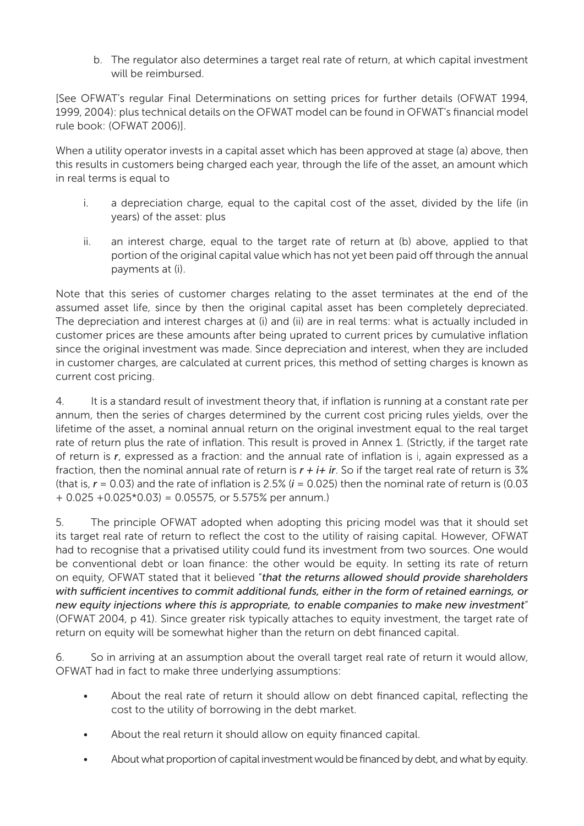b. The regulator also determines a target real rate of return, at which capital investment will be reimbursed.

[See OFWAT's regular Final Determinations on setting prices for further details (OFWAT 1994, 1999, 2004): plus technical details on the OFWAT model can be found in OFWAT's financial model rule book: (OFWAT 2006)].

When a utility operator invests in a capital asset which has been approved at stage (a) above, then this results in customers being charged each year, through the life of the asset, an amount which in real terms is equal to

- i. a depreciation charge, equal to the capital cost of the asset, divided by the life (in years) of the asset: plus
- ii. an interest charge, equal to the target rate of return at (b) above, applied to that portion of the original capital value which has not yet been paid off through the annual payments at (i).

Note that this series of customer charges relating to the asset terminates at the end of the assumed asset life, since by then the original capital asset has been completely depreciated. The depreciation and interest charges at (i) and (ii) are in real terms: what is actually included in customer prices are these amounts after being uprated to current prices by cumulative inflation since the original investment was made. Since depreciation and interest, when they are included in customer charges, are calculated at current prices, this method of setting charges is known as current cost pricing.

4. It is a standard result of investment theory that, if inflation is running at a constant rate per annum, then the series of charges determined by the current cost pricing rules yields, over the lifetime of the asset, a nominal annual return on the original investment equal to the real target rate of return plus the rate of inflation. This result is proved in Annex 1. (Strictly, if the target rate of return is *r*, expressed as a fraction: and the annual rate of inflation is i, again expressed as a fraction, then the nominal annual rate of return is  $r + i + ir$ . So if the target real rate of return is  $3\%$ (that is,  $r = 0.03$ ) and the rate of inflation is 2.5%  $(i = 0.025)$  then the nominal rate of return is  $(0.03$  $+ 0.025 + 0.025 * 0.03 = 0.05575$ , or 5.575% per annum.)

5. The principle OFWAT adopted when adopting this pricing model was that it should set its target real rate of return to reflect the cost to the utility of raising capital. However, OFWAT had to recognise that a privatised utility could fund its investment from two sources. One would be conventional debt or loan finance: the other would be equity. In setting its rate of return on equity, OFWAT stated that it believed "*that the returns allowed should provide shareholders with sufficient incentives to commit additional funds, either in the form of retained earnings, or new equity injections where this is appropriate, to enable companies to make new investment*" (OFWAT 2004, p 41). Since greater risk typically attaches to equity investment, the target rate of return on equity will be somewhat higher than the return on debt financed capital.

6. So in arriving at an assumption about the overall target real rate of return it would allow, OFWAT had in fact to make three underlying assumptions:

- About the real rate of return it should allow on debt financed capital, reflecting the cost to the utility of borrowing in the debt market.
- About the real return it should allow on equity financed capital.
- About what proportion of capital investment would be financed by debt, and what by equity.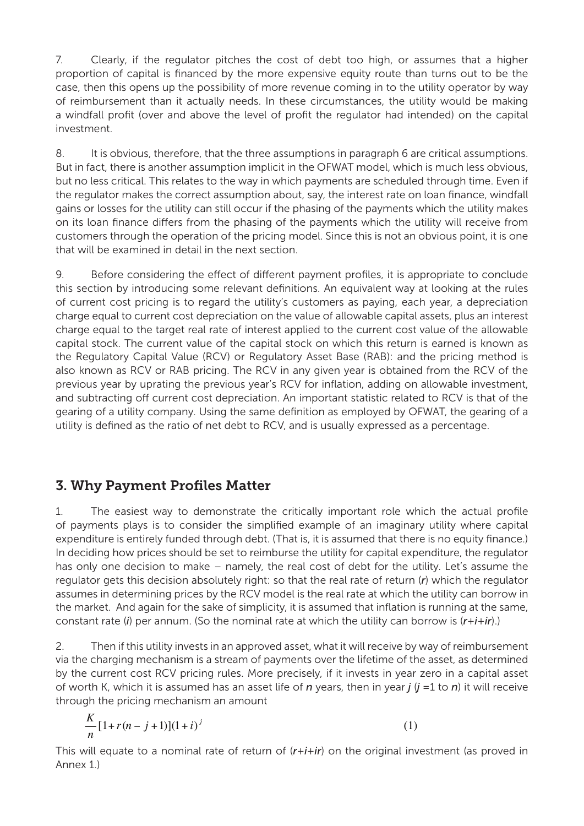7. Clearly, if the regulator pitches the cost of debt too high, or assumes that a higher proportion of capital is financed by the more expensive equity route than turns out to be the case, then this opens up the possibility of more revenue coming in to the utility operator by way of reimbursement than it actually needs. In these circumstances, the utility would be making a windfall profit (over and above the level of profit the regulator had intended) on the capital investment.

8. It is obvious, therefore, that the three assumptions in paragraph 6 are critical assumptions. But in fact, there is another assumption implicit in the OFWAT model, which is much less obvious, but no less critical. This relates to the way in which payments are scheduled through time. Even if the regulator makes the correct assumption about, say, the interest rate on loan finance, windfall gains or losses for the utility can still occur if the phasing of the payments which the utility makes on its loan finance differs from the phasing of the payments which the utility will receive from customers through the operation of the pricing model. Since this is not an obvious point, it is one that will be examined in detail in the next section.

9. Before considering the effect of different payment profiles, it is appropriate to conclude this section by introducing some relevant definitions. An equivalent way at looking at the rules of current cost pricing is to regard the utility's customers as paying, each year, a depreciation charge equal to current cost depreciation on the value of allowable capital assets, plus an interest charge equal to the target real rate of interest applied to the current cost value of the allowable capital stock. The current value of the capital stock on which this return is earned is known as the Regulatory Capital Value (RCV) or Regulatory Asset Base (RAB): and the pricing method is also known as RCV or RAB pricing. The RCV in any given year is obtained from the RCV of the previous year by uprating the previous year's RCV for inflation, adding on allowable investment, and subtracting off current cost depreciation. An important statistic related to RCV is that of the gearing of a utility company. Using the same definition as employed by OFWAT, the gearing of a utility is defined as the ratio of net debt to RCV, and is usually expressed as a percentage.

# 3. Why Payment Profiles Matter

1. The easiest way to demonstrate the critically important role which the actual profile of payments plays is to consider the simplified example of an imaginary utility where capital expenditure is entirely funded through debt. (That is, it is assumed that there is no equity finance.) In deciding how prices should be set to reimburse the utility for capital expenditure, the regulator has only one decision to make – namely, the real cost of debt for the utility. Let's assume the regulator gets this decision absolutely right: so that the real rate of return (*r*) which the regulator assumes in determining prices by the RCV model is the real rate at which the utility can borrow in the market. And again for the sake of simplicity, it is assumed that inflation is running at the same, constant rate (*i*) per annum. (So the nominal rate at which the utility can borrow is (*r*+*i*+*ir*).)

2. Then if this utility invests in an approved asset, what it will receive by way of reimbursement via the charging mechanism is a stream of payments over the lifetime of the asset, as determined by the current cost RCV pricing rules. More precisely, if it invests in year zero in a capital asset of worth K, which it is assumed has an asset life of *n* years, then in year *j* (*j =*1 to *n*) it will receive through the pricing mechanism an amount

$$
\frac{K}{n}[1 + r(n-j+1)](1+i)^{j}
$$
 (1)

This will equate to a nominal rate of return of (*r*+*i*+*ir*) on the original investment (as proved in Annex 1.)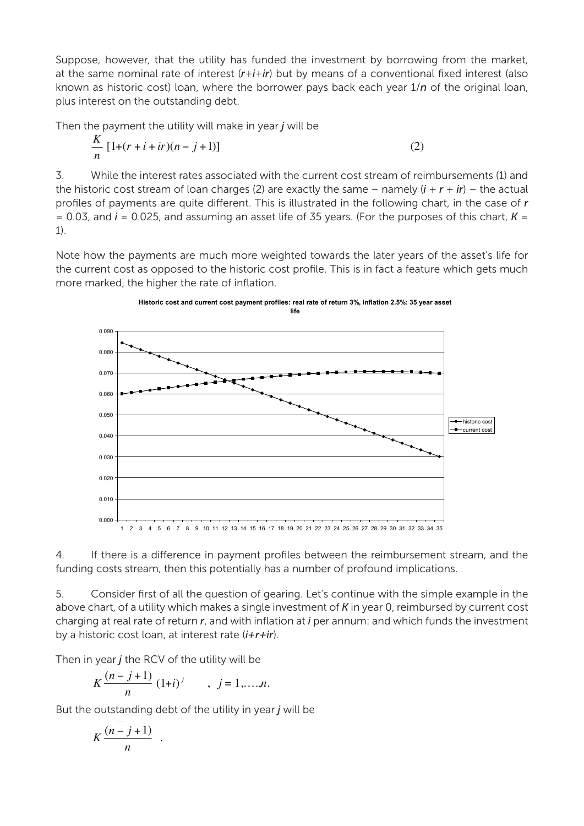Suppose, however, that the utility has funded the investment by borrowing from the market, at the same nominal rate of interest (*r*+*i*+*ir*) but by means of a conventional fixed interest (also known as historic cost) loan, where the borrower pays back each year 1/*n* of the original loan, plus interest on the outstanding debt.

Then the payment the utility will make in year *j* will be

$$
\frac{K}{n} [1 + (r + i + ir)(n - j + 1)] \tag{2}
$$

3. While the interest rates associated with the current cost stream of reimbursements (1) and the historic cost stream of loan charges (2) are exactly the same – namely  $(i + r + ir)$  – the actual profiles of payments are quite different. This is illustrated in the following chart, in the case of *r*  $= 0.03$ , and  $i = 0.025$ , and assuming an asset life of 35 years. (For the purposes of this chart,  $K =$ 1).

Note how the payments are much more weighted towards the later years of the asset's life for the current cost as opposed to the historic cost profile. This is in fact a feature which gets much more marked, the higher the rate of inflation.





5. Consider first of all the question of gearing. Let's continue with the simple example in the above chart, of a utility which makes a single investment of *K* in year 0, reimbursed by current cost charging at real rate of return *r*, and with inflation at *i* per annum: and which funds the investment by a historic cost loan, at interest rate (*i+r+ir*).

Then in year *j* the RCV of the utility will be

$$
K\frac{(n-j+1)}{n} (1+i)^j \qquad , j=1,...,n.
$$

But the outstanding debt of the utility in year *j* will be

$$
K \frac{(n-j+1)}{n} .
$$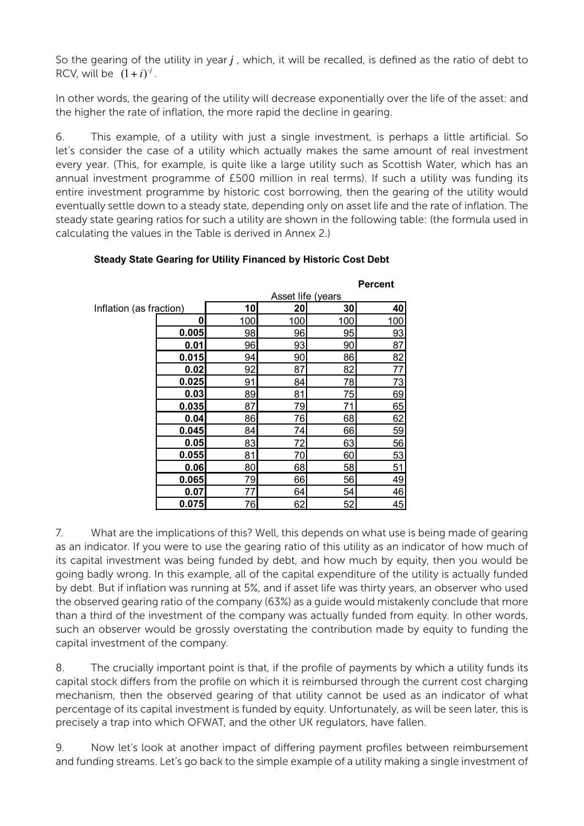So the gearing of the utility in year *j* , which, it will be recalled, is defined as the ratio of debt to RCV, will be  $(1+i)^{j}$ .

In other words, the gearing of the utility will decrease exponentially over the life of the asset: and the higher the rate of inflation, the more rapid the decline in gearing.

6. This example, of a utility with just a single investment, is perhaps a little artificial. So let's consider the case of a utility which actually makes the same amount of real investment every year. (This, for example, is quite like a large utility such as Scottish Water, which has an annual investment programme of £500 million in real terms). If such a utility was funding its entire investment programme by historic cost borrowing, then the gearing of the utility would eventually settle down to a steady state, depending only on asset life and the rate of inflation. The steady state gearing ratios for such a utility are shown in the following table: (the formula used in calculating the values in the Table is derived in Annex 2.)

#### **Percent** Inflation (as fraction) **10 20 30 40 0** 100 100 100 100 **0.005** 98 96 95 93 **0.01** 96 93 90 87 **0.015** 94 90 86 82 **0.02** 92 87 82 77 **0.025** 91 84 78 73 **0.03** 89 81 75 69 **0.035** 87 79 71 65 **0.04** 86 76 68 62 **0.045** 84 74 66 59 **0.05** 83 72 63 56 **0.055** 81 70 60 53 **0.06** 80 68 58 51 **0.065** 79 66 56 49 **0.07** 77 64 54 46 **0.075** 76 62 52 45 Asset life (years

**Steady State Gearing for Utility Financed by Historic Cost Debt**

7. What are the implications of this? Well, this depends on what use is being made of gearing as an indicator. If you were to use the gearing ratio of this utility as an indicator of how much of its capital investment was being funded by debt, and how much by equity, then you would be going badly wrong. In this example, all of the capital expenditure of the utility is actually funded by debt. But if inflation was running at 5%, and if asset life was thirty years, an observer who used the observed gearing ratio of the company (63%) as a guide would mistakenly conclude that more than a third of the investment of the company was actually funded from equity. In other words, such an observer would be grossly overstating the contribution made by equity to funding the capital investment of the company.

8. The crucially important point is that, if the profile of payments by which a utility funds its capital stock differs from the profile on which it is reimbursed through the current cost charging mechanism, then the observed gearing of that utility cannot be used as an indicator of what percentage of its capital investment is funded by equity. Unfortunately, as will be seen later, this is precisely a trap into which OFWAT, and the other UK regulators, have fallen.

9. Now let's look at another impact of differing payment profiles between reimbursement and funding streams. Let's go back to the simple example of a utility making a single investment of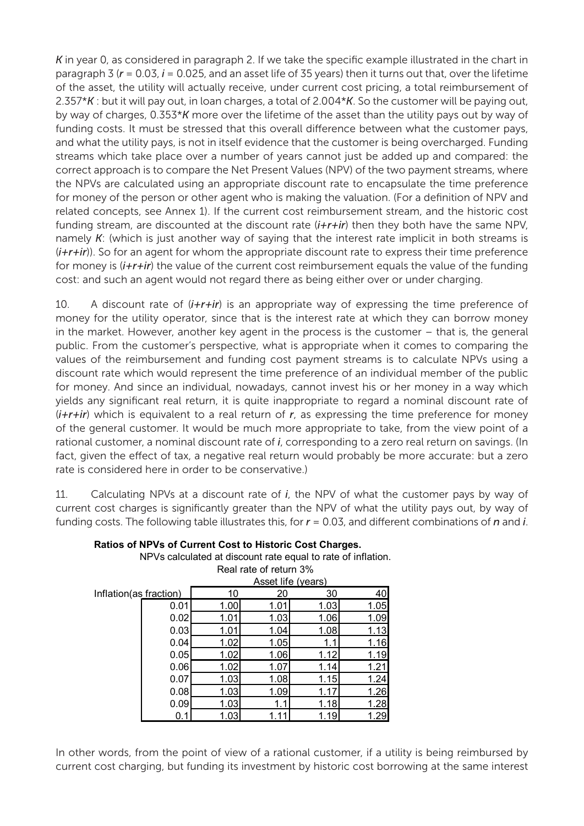*K* in year 0, as considered in paragraph 2. If we take the specific example illustrated in the chart in paragraph 3 ( $r = 0.03$ ,  $i = 0.025$ , and an asset life of 35 years) then it turns out that, over the lifetime of the asset, the utility will actually receive, under current cost pricing, a total reimbursement of 2.357\**K* : but it will pay out, in loan charges, a total of 2.004\**K*. So the customer will be paying out, by way of charges, 0.353\**K* more over the lifetime of the asset than the utility pays out by way of funding costs. It must be stressed that this overall difference between what the customer pays, and what the utility pays, is not in itself evidence that the customer is being overcharged. Funding streams which take place over a number of years cannot just be added up and compared: the correct approach is to compare the Net Present Values (NPV) of the two payment streams, where the NPVs are calculated using an appropriate discount rate to encapsulate the time preference for money of the person or other agent who is making the valuation. (For a definition of NPV and related concepts, see Annex 1). If the current cost reimbursement stream, and the historic cost funding stream, are discounted at the discount rate (*i+r+ir*) then they both have the same NPV, namely *K*: (which is just another way of saying that the interest rate implicit in both streams is (*i+r+ir*)). So for an agent for whom the appropriate discount rate to express their time preference for money is (*i+r+ir*) the value of the current cost reimbursement equals the value of the funding cost: and such an agent would not regard there as being either over or under charging.

10. A discount rate of (*i+r+ir*) is an appropriate way of expressing the time preference of money for the utility operator, since that is the interest rate at which they can borrow money in the market. However, another key agent in the process is the customer – that is, the general public. From the customer's perspective, what is appropriate when it comes to comparing the values of the reimbursement and funding cost payment streams is to calculate NPVs using a discount rate which would represent the time preference of an individual member of the public for money. And since an individual, nowadays, cannot invest his or her money in a way which yields any significant real return, it is quite inappropriate to regard a nominal discount rate of (*i+r+ir*) which is equivalent to a real return of *r*, as expressing the time preference for money of the general customer. It would be much more appropriate to take, from the view point of a rational customer, a nominal discount rate of *i*, corresponding to a zero real return on savings. (In fact, given the effect of tax, a negative real return would probably be more accurate: but a zero rate is considered here in order to be conservative.)

11. Calculating NPVs at a discount rate of *i*, the NPV of what the customer pays by way of current cost charges is significantly greater than the NPV of what the utility pays out, by way of funding costs. The following table illustrates this, for *r* = 0.03, and different combinations of *n* and *i*.

|                        |      | Real rate of felum 3% |      |      |      |  |  |
|------------------------|------|-----------------------|------|------|------|--|--|
|                        |      | Asset life (years)    |      |      |      |  |  |
| Inflation(as fraction) |      | 10                    | 20   | 30   | 40   |  |  |
|                        | 0.01 | 1.00                  | 1.01 | 1.03 | 1.05 |  |  |
|                        | 0.02 | 1.01                  | 1.03 | 1.06 | 1.09 |  |  |
|                        | 0.03 | 1.01                  | 1.04 | 1.08 | 1.13 |  |  |
|                        | 0.04 | 1.02                  | 1.05 |      | 1.16 |  |  |
|                        | 0.05 | 1.02                  | 1.06 | 1.12 | 1.19 |  |  |
|                        | 0.06 | 1.02                  | 1.07 | 1.14 | 1.21 |  |  |
|                        | 0.07 | 1.03                  | 1.08 | 1.15 | 1.24 |  |  |
|                        | 0.08 | 1.03                  | 1.09 | 1.17 | 1.26 |  |  |
|                        | 0.09 | 1.03                  | 1.1  | 1.18 | 1.28 |  |  |
|                        | 0.1  | 1.03                  | 1.1  | 1.19 | 1.29 |  |  |

**Ratios of NPVs of Current Cost to Historic Cost Charges.**

NPVs calculated at discount rate equal to rate of inflation.

Real rate of rature

In other words, from the point of view of a rational customer, if a utility is being reimbursed by current cost charging, but funding its investment by historic cost borrowing at the same interest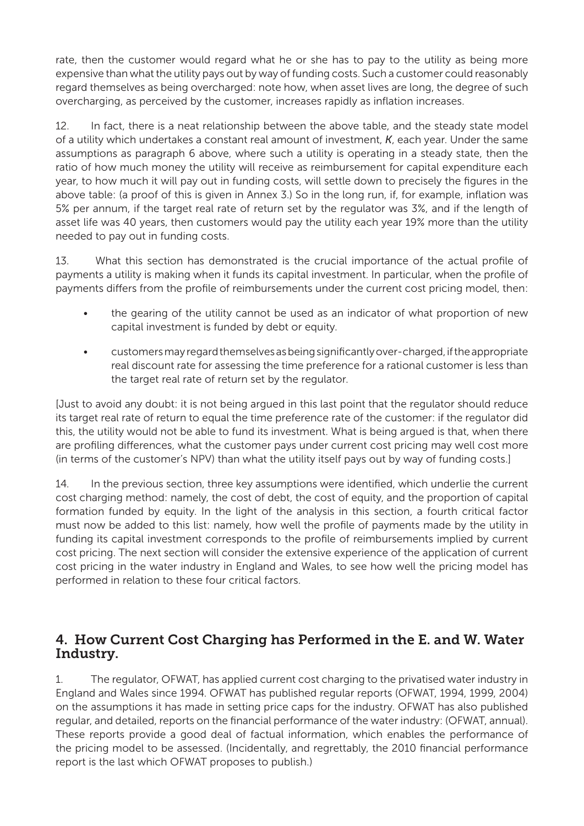rate, then the customer would regard what he or she has to pay to the utility as being more expensive than what the utility pays out by way of funding costs. Such a customer could reasonably regard themselves as being overcharged: note how, when asset lives are long, the degree of such overcharging, as perceived by the customer, increases rapidly as inflation increases.

12. In fact, there is a neat relationship between the above table, and the steady state model of a utility which undertakes a constant real amount of investment, *K*, each year. Under the same assumptions as paragraph 6 above, where such a utility is operating in a steady state, then the ratio of how much money the utility will receive as reimbursement for capital expenditure each year, to how much it will pay out in funding costs, will settle down to precisely the figures in the above table: (a proof of this is given in Annex 3.) So in the long run, if, for example, inflation was 5% per annum, if the target real rate of return set by the regulator was 3%, and if the length of asset life was 40 years, then customers would pay the utility each year 19% more than the utility needed to pay out in funding costs.

13. What this section has demonstrated is the crucial importance of the actual profile of payments a utility is making when it funds its capital investment. In particular, when the profile of payments differs from the profile of reimbursements under the current cost pricing model, then:

- the gearing of the utility cannot be used as an indicator of what proportion of new capital investment is funded by debt or equity.
- • customers may regard themselves as being significantly over-charged, if the appropriate real discount rate for assessing the time preference for a rational customer is less than the target real rate of return set by the regulator.

[Just to avoid any doubt: it is not being argued in this last point that the regulator should reduce its target real rate of return to equal the time preference rate of the customer: if the regulator did this, the utility would not be able to fund its investment. What is being argued is that, when there are profiling differences, what the customer pays under current cost pricing may well cost more (in terms of the customer's NPV) than what the utility itself pays out by way of funding costs.]

14. In the previous section, three key assumptions were identified, which underlie the current cost charging method: namely, the cost of debt, the cost of equity, and the proportion of capital formation funded by equity. In the light of the analysis in this section, a fourth critical factor must now be added to this list: namely, how well the profile of payments made by the utility in funding its capital investment corresponds to the profile of reimbursements implied by current cost pricing. The next section will consider the extensive experience of the application of current cost pricing in the water industry in England and Wales, to see how well the pricing model has performed in relation to these four critical factors.

## 4. How Current Cost Charging has Performed in the E. and W. Water Industry.

1. The regulator, OFWAT, has applied current cost charging to the privatised water industry in England and Wales since 1994. OFWAT has published regular reports (OFWAT, 1994, 1999, 2004) on the assumptions it has made in setting price caps for the industry. OFWAT has also published regular, and detailed, reports on the financial performance of the water industry: (OFWAT, annual). These reports provide a good deal of factual information, which enables the performance of the pricing model to be assessed. (Incidentally, and regrettably, the 2010 financial performance report is the last which OFWAT proposes to publish.)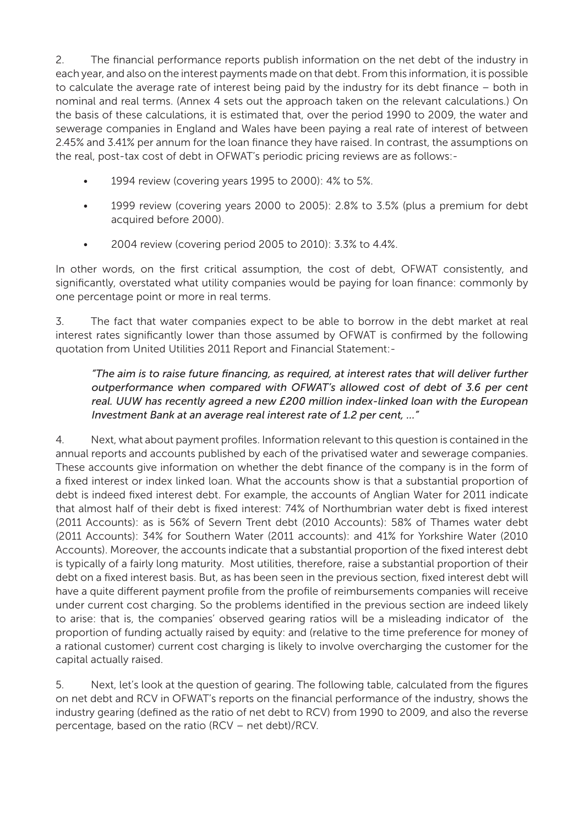2. The financial performance reports publish information on the net debt of the industry in each year, and also on the interest payments made on that debt. From this information, it is possible to calculate the average rate of interest being paid by the industry for its debt finance – both in nominal and real terms. (Annex 4 sets out the approach taken on the relevant calculations.) On the basis of these calculations, it is estimated that, over the period 1990 to 2009, the water and sewerage companies in England and Wales have been paying a real rate of interest of between 2.45% and 3.41% per annum for the loan finance they have raised. In contrast, the assumptions on the real, post-tax cost of debt in OFWAT's periodic pricing reviews are as follows:-

- 1994 review (covering years 1995 to 2000): 4% to 5%.
- 1999 review (covering years 2000 to 2005):  $2.8\%$  to 3.5% (plus a premium for debt acquired before 2000).
- 2004 review (covering period 2005 to 2010): 3.3% to 4.4%.

In other words, on the first critical assumption, the cost of debt, OFWAT consistently, and significantly, overstated what utility companies would be paying for loan finance: commonly by one percentage point or more in real terms.

3. The fact that water companies expect to be able to borrow in the debt market at real interest rates significantly lower than those assumed by OFWAT is confirmed by the following quotation from United Utilities 2011 Report and Financial Statement:-

#### *"The aim is to raise future financing, as required, at interest rates that will deliver further outperformance when compared with OFWAT's allowed cost of debt of 3.6 per cent real. UUW has recently agreed a new £200 million index-linked loan with the European Investment Bank at an average real interest rate of 1.2 per cent, …"*

4. Next, what about payment profiles. Information relevant to this question is contained in the annual reports and accounts published by each of the privatised water and sewerage companies. These accounts give information on whether the debt finance of the company is in the form of a fixed interest or index linked loan. What the accounts show is that a substantial proportion of debt is indeed fixed interest debt. For example, the accounts of Anglian Water for 2011 indicate that almost half of their debt is fixed interest: 74% of Northumbrian water debt is fixed interest (2011 Accounts): as is 56% of Severn Trent debt (2010 Accounts): 58% of Thames water debt (2011 Accounts): 34% for Southern Water (2011 accounts): and 41% for Yorkshire Water (2010 Accounts). Moreover, the accounts indicate that a substantial proportion of the fixed interest debt is typically of a fairly long maturity. Most utilities, therefore, raise a substantial proportion of their debt on a fixed interest basis. But, as has been seen in the previous section, fixed interest debt will have a quite different payment profile from the profile of reimbursements companies will receive under current cost charging. So the problems identified in the previous section are indeed likely to arise: that is, the companies' observed gearing ratios will be a misleading indicator of the proportion of funding actually raised by equity: and (relative to the time preference for money of a rational customer) current cost charging is likely to involve overcharging the customer for the capital actually raised.

5. Next, let's look at the question of gearing. The following table, calculated from the figures on net debt and RCV in OFWAT's reports on the financial performance of the industry, shows the industry gearing (defined as the ratio of net debt to RCV) from 1990 to 2009, and also the reverse percentage, based on the ratio (RCV – net debt)/RCV.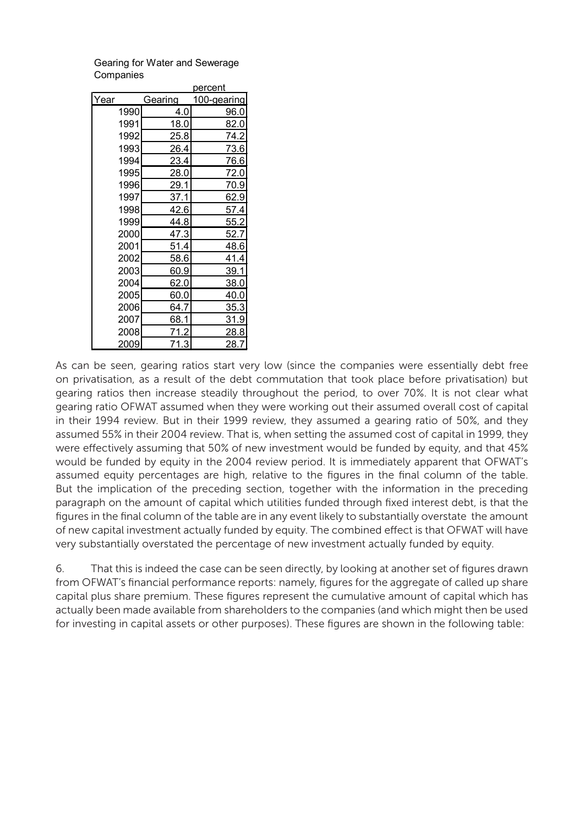Gearing for Water and Sewerage **Companies** 

percent

|      |      | poroom  |             |  |
|------|------|---------|-------------|--|
| Year |      | Gearing | 100-gearing |  |
|      | 1990 | 4.0     | 96.0        |  |
|      | 1991 | 18.0    | 82.0        |  |
|      | 1992 | 25.8    | 74.2        |  |
|      | 1993 | 26.4    | <u>73.6</u> |  |
|      | 1994 | 23.4    | 76.6        |  |
|      | 1995 | 28.0    | 72.0        |  |
|      | 1996 | 29.1    | 70.9        |  |
|      | 1997 | 37.1    | 62.9        |  |
|      | 1998 | 42.6    | 57.4        |  |
|      | 1999 | 44.8    | 55.2        |  |
|      | 2000 | 47.3    | 52.7        |  |
|      | 2001 | 51.4    | 48.6        |  |
|      | 2002 | 58.6    | 41.4        |  |
|      | 2003 | 60.9    | 39.1        |  |
|      | 2004 | 62.0    | 38.0        |  |
|      | 2005 | 60.0    | <u>40.0</u> |  |
|      | 2006 | 64.7    | 35.3        |  |
|      | 2007 | 68.1    | <u>31.9</u> |  |
|      | 2008 | 71.2    | 28.8        |  |
|      | 2009 | 71.3    | 28.7        |  |

As can be seen, gearing ratios start very low (since the companies were essentially debt free on privatisation, as a result of the debt commutation that took place before privatisation) but gearing ratios then increase steadily throughout the period, to over 70%. It is not clear what gearing ratio OFWAT assumed when they were working out their assumed overall cost of capital in their 1994 review. But in their 1999 review, they assumed a gearing ratio of 50%, and they assumed 55% in their 2004 review. That is, when setting the assumed cost of capital in 1999, they were effectively assuming that 50% of new investment would be funded by equity, and that 45% would be funded by equity in the 2004 review period. It is immediately apparent that OFWAT's assumed equity percentages are high, relative to the figures in the final column of the table. But the implication of the preceding section, together with the information in the preceding paragraph on the amount of capital which utilities funded through fixed interest debt, is that the figures in the final column of the table are in any event likely to substantially overstate the amount of new capital investment actually funded by equity. The combined effect is that OFWAT will have very substantially overstated the percentage of new investment actually funded by equity.

6. That this is indeed the case can be seen directly, by looking at another set of figures drawn from OFWAT's financial performance reports: namely, figures for the aggregate of called up share capital plus share premium. These figures represent the cumulative amount of capital which has actually been made available from shareholders to the companies (and which might then be used for investing in capital assets or other purposes). These figures are shown in the following table: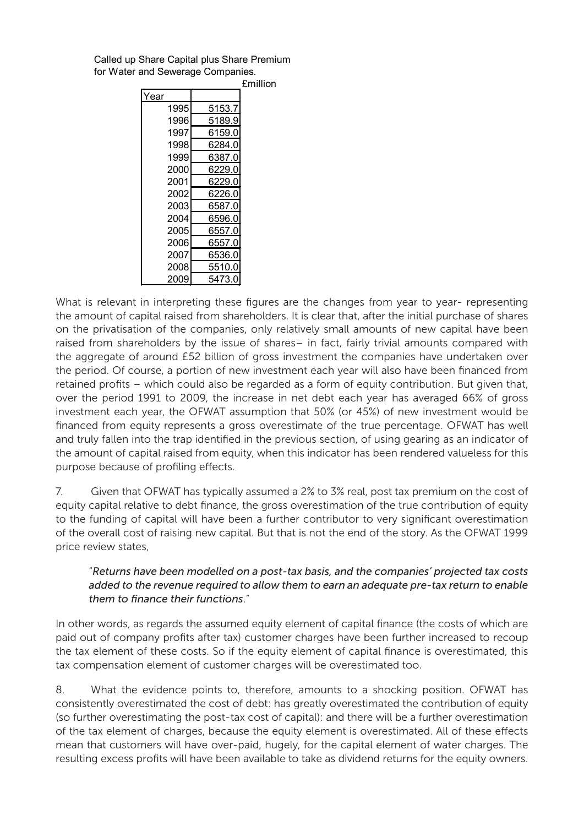Called up Share Capital plus Share Premium for Water and Sewerage Companies.

|      |        | <b>£million</b> |
|------|--------|-----------------|
| Year |        |                 |
| 1995 | 5153.7 |                 |
| 1996 | 5189.9 |                 |
| 1997 | 6159.0 |                 |
| 1998 | 6284.0 |                 |
| 1999 | 6387.0 |                 |
| 2000 | 6229.0 |                 |
| 2001 | 6229.0 |                 |
| 2002 | 6226.0 |                 |
| 2003 | 6587.0 |                 |
| 2004 | 6596.0 |                 |
| 2005 | 6557.0 |                 |
| 2006 | 6557.0 |                 |
| 2007 | 6536.0 |                 |
| 2008 | 5510.0 |                 |
| 2009 | 5473.0 |                 |

What is relevant in interpreting these figures are the changes from year to year- representing the amount of capital raised from shareholders. It is clear that, after the initial purchase of shares on the privatisation of the companies, only relatively small amounts of new capital have been raised from shareholders by the issue of shares– in fact, fairly trivial amounts compared with the aggregate of around £52 billion of gross investment the companies have undertaken over the period. Of course, a portion of new investment each year will also have been financed from retained profits – which could also be regarded as a form of equity contribution. But given that, over the period 1991 to 2009, the increase in net debt each year has averaged 66% of gross investment each year, the OFWAT assumption that 50% (or 45%) of new investment would be financed from equity represents a gross overestimate of the true percentage. OFWAT has well and truly fallen into the trap identified in the previous section, of using gearing as an indicator of the amount of capital raised from equity, when this indicator has been rendered valueless for this purpose because of profiling effects.

7. Given that OFWAT has typically assumed a 2% to 3% real, post tax premium on the cost of equity capital relative to debt finance, the gross overestimation of the true contribution of equity to the funding of capital will have been a further contributor to very significant overestimation of the overall cost of raising new capital. But that is not the end of the story. As the OFWAT 1999 price review states,

#### "*Returns have been modelled on a post-tax basis, and the companies' projected tax costs added to the revenue required to allow them to earn an adequate pre-tax return to enable them to finance their functions*."

In other words, as regards the assumed equity element of capital finance (the costs of which are paid out of company profits after tax) customer charges have been further increased to recoup the tax element of these costs. So if the equity element of capital finance is overestimated, this tax compensation element of customer charges will be overestimated too.

8. What the evidence points to, therefore, amounts to a shocking position. OFWAT has consistently overestimated the cost of debt: has greatly overestimated the contribution of equity (so further overestimating the post-tax cost of capital): and there will be a further overestimation of the tax element of charges, because the equity element is overestimated. All of these effects mean that customers will have over-paid, hugely, for the capital element of water charges. The resulting excess profits will have been available to take as dividend returns for the equity owners.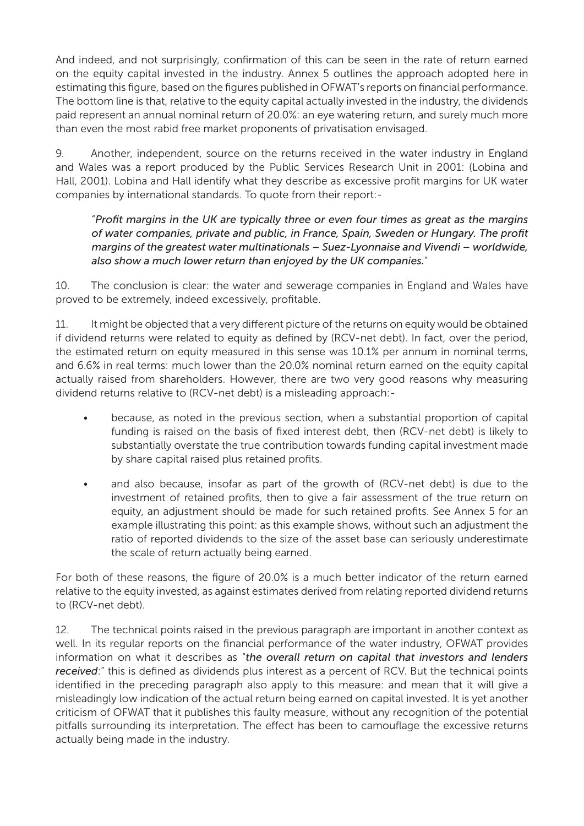And indeed, and not surprisingly, confirmation of this can be seen in the rate of return earned on the equity capital invested in the industry. Annex 5 outlines the approach adopted here in estimating this figure, based on the figures published in OFWAT's reports on financial performance. The bottom line is that, relative to the equity capital actually invested in the industry, the dividends paid represent an annual nominal return of 20.0%: an eye watering return, and surely much more than even the most rabid free market proponents of privatisation envisaged.

9. Another, independent, source on the returns received in the water industry in England and Wales was a report produced by the Public Services Research Unit in 2001: (Lobina and Hall, 2001). Lobina and Hall identify what they describe as excessive profit margins for UK water companies by international standards. To quote from their report:-

"*Profit margins in the UK are typically three or even four times as great as the margins of water companies, private and public, in France, Spain, Sweden or Hungary. The profit margins of the greatest water multinationals – Suez-Lyonnaise and Vivendi – worldwide, also show a much lower return than enjoyed by the UK companies.*"

10. The conclusion is clear: the water and sewerage companies in England and Wales have proved to be extremely, indeed excessively, profitable.

11. It might be objected that a very different picture of the returns on equity would be obtained if dividend returns were related to equity as defined by (RCV-net debt). In fact, over the period, the estimated return on equity measured in this sense was 10.1% per annum in nominal terms, and 6.6% in real terms: much lower than the 20.0% nominal return earned on the equity capital actually raised from shareholders. However, there are two very good reasons why measuring dividend returns relative to (RCV-net debt) is a misleading approach:-

- because, as noted in the previous section, when a substantial proportion of capital funding is raised on the basis of fixed interest debt, then (RCV-net debt) is likely to substantially overstate the true contribution towards funding capital investment made by share capital raised plus retained profits.
- and also because, insofar as part of the growth of (RCV-net debt) is due to the investment of retained profits, then to give a fair assessment of the true return on equity, an adjustment should be made for such retained profits. See Annex 5 for an example illustrating this point: as this example shows, without such an adjustment the ratio of reported dividends to the size of the asset base can seriously underestimate the scale of return actually being earned.

For both of these reasons, the figure of 20.0% is a much better indicator of the return earned relative to the equity invested, as against estimates derived from relating reported dividend returns to (RCV-net debt).

12. The technical points raised in the previous paragraph are important in another context as well. In its regular reports on the financial performance of the water industry, OFWAT provides information on what it describes as "*the overall return on capital that investors and lenders received*:" this is defined as dividends plus interest as a percent of RCV. But the technical points identified in the preceding paragraph also apply to this measure: and mean that it will give a misleadingly low indication of the actual return being earned on capital invested. It is yet another criticism of OFWAT that it publishes this faulty measure, without any recognition of the potential pitfalls surrounding its interpretation. The effect has been to camouflage the excessive returns actually being made in the industry.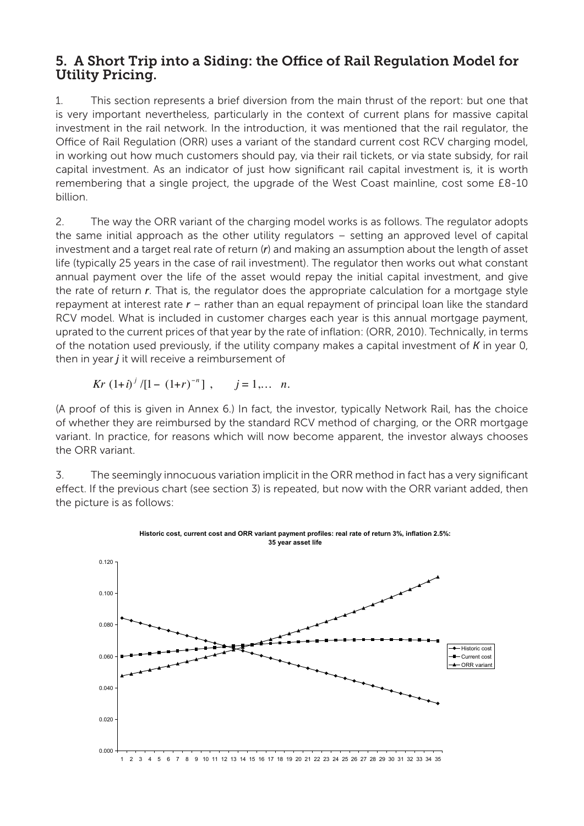### 5. A Short Trip into a Siding: the Office of Rail Regulation Model for Utility Pricing.

1. This section represents a brief diversion from the main thrust of the report: but one that is very important nevertheless, particularly in the context of current plans for massive capital investment in the rail network. In the introduction, it was mentioned that the rail regulator, the Office of Rail Regulation (ORR) uses a variant of the standard current cost RCV charging model, in working out how much customers should pay, via their rail tickets, or via state subsidy, for rail capital investment. As an indicator of just how significant rail capital investment is, it is worth remembering that a single project, the upgrade of the West Coast mainline, cost some £8-10 billion.

2. The way the ORR variant of the charging model works is as follows. The regulator adopts the same initial approach as the other utility regulators – setting an approved level of capital investment and a target real rate of return (*r*) and making an assumption about the length of asset life (typically 25 years in the case of rail investment). The regulator then works out what constant annual payment over the life of the asset would repay the initial capital investment, and give the rate of return *r*. That is, the regulator does the appropriate calculation for a mortgage style repayment at interest rate *r* – rather than an equal repayment of principal loan like the standard RCV model. What is included in customer charges each year is this annual mortgage payment, uprated to the current prices of that year by the rate of inflation: (ORR, 2010). Technically, in terms of the notation used previously, if the utility company makes a capital investment of *K* in year 0, then in year *j* it will receive a reimbursement of

$$
Kr (1+i)^j/[1-(1+r)^{-n}], \quad j=1,... n.
$$

(A proof of this is given in Annex 6.) In fact, the investor, typically Network Rail, has the choice of whether they are reimbursed by the standard RCV method of charging, or the ORR mortgage variant. In practice, for reasons which will now become apparent, the investor always chooses the ORR variant.

3. The seemingly innocuous variation implicit in the ORR method in fact has a very significant effect. If the previous chart (see section 3) is repeated, but now with the ORR variant added, then the picture is as follows:

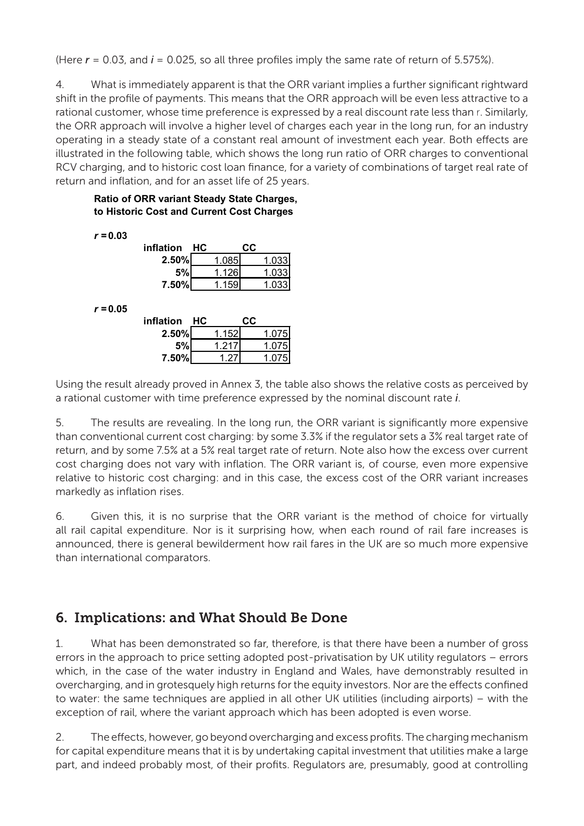(Here  $r = 0.03$ , and  $i = 0.025$ , so all three profiles imply the same rate of return of 5.575%).

4. What is immediately apparent is that the ORR variant implies a further significant rightward shift in the profile of payments. This means that the ORR approach will be even less attractive to a rational customer, whose time preference is expressed by a real discount rate less than r. Similarly, the ORR approach will involve a higher level of charges each year in the long run, for an industry operating in a steady state of a constant real amount of investment each year. Both effects are illustrated in the following table, which shows the long run ratio of ORR charges to conventional RCV charging, and to historic cost loan finance, for a variety of combinations of target real rate of return and inflation, and for an asset life of 25 years.

#### **Ratio of ORR variant Steady State Charges, to Historic Cost and Current Cost Charges**

*r =* **0.03 inflation HC CC 2.50%** 1.085 1.033 **5%** 1.126 1.033 **7.50%** 1.159 1.033 *r =* **0.05 inflation HC CC 2.50%** 1.152 1.075 **5%** 1.217 1.075 **7.50%** 1.27 1.075

Using the result already proved in Annex 3, the table also shows the relative costs as perceived by a rational customer with time preference expressed by the nominal discount rate *i*.

5. The results are revealing. In the long run, the ORR variant is significantly more expensive than conventional current cost charging: by some 3.3% if the regulator sets a 3% real target rate of return, and by some 7.5% at a 5% real target rate of return. Note also how the excess over current cost charging does not vary with inflation. The ORR variant is, of course, even more expensive relative to historic cost charging: and in this case, the excess cost of the ORR variant increases markedly as inflation rises.

6. Given this, it is no surprise that the ORR variant is the method of choice for virtually all rail capital expenditure. Nor is it surprising how, when each round of rail fare increases is announced, there is general bewilderment how rail fares in the UK are so much more expensive than international comparators.

# 6. Implications: and What Should Be Done

1. What has been demonstrated so far, therefore, is that there have been a number of gross errors in the approach to price setting adopted post-privatisation by UK utility regulators – errors which, in the case of the water industry in England and Wales, have demonstrably resulted in overcharging, and in grotesquely high returns for the equity investors. Nor are the effects confined to water: the same techniques are applied in all other UK utilities (including airports) – with the exception of rail, where the variant approach which has been adopted is even worse.

2. The effects, however, go beyond overcharging and excess profits. The charging mechanism for capital expenditure means that it is by undertaking capital investment that utilities make a large part, and indeed probably most, of their profits. Regulators are, presumably, good at controlling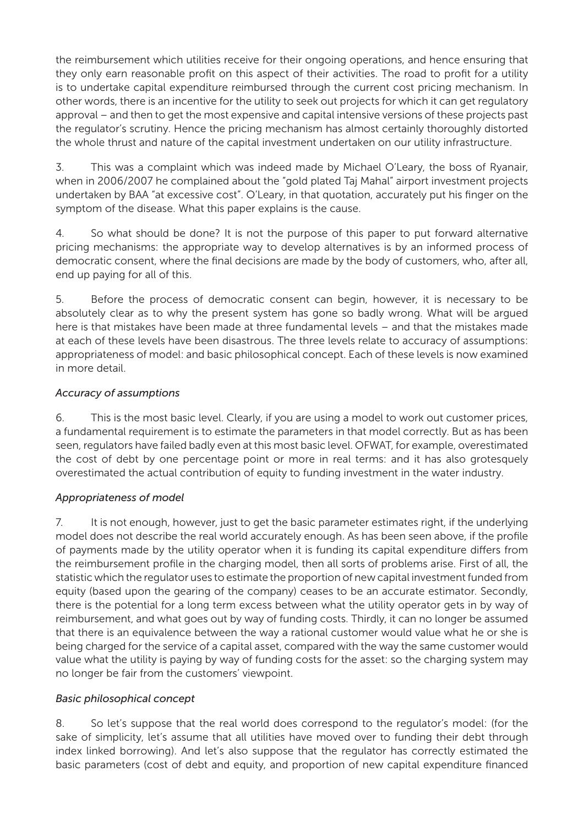the reimbursement which utilities receive for their ongoing operations, and hence ensuring that they only earn reasonable profit on this aspect of their activities. The road to profit for a utility is to undertake capital expenditure reimbursed through the current cost pricing mechanism. In other words, there is an incentive for the utility to seek out projects for which it can get regulatory approval – and then to get the most expensive and capital intensive versions of these projects past the regulator's scrutiny. Hence the pricing mechanism has almost certainly thoroughly distorted the whole thrust and nature of the capital investment undertaken on our utility infrastructure.

3. This was a complaint which was indeed made by Michael O'Leary, the boss of Ryanair, when in 2006/2007 he complained about the "gold plated Taj Mahal" airport investment projects undertaken by BAA "at excessive cost". O'Leary, in that quotation, accurately put his finger on the symptom of the disease. What this paper explains is the cause.

4. So what should be done? It is not the purpose of this paper to put forward alternative pricing mechanisms: the appropriate way to develop alternatives is by an informed process of democratic consent, where the final decisions are made by the body of customers, who, after all, end up paying for all of this.

5. Before the process of democratic consent can begin, however, it is necessary to be absolutely clear as to why the present system has gone so badly wrong. What will be argued here is that mistakes have been made at three fundamental levels – and that the mistakes made at each of these levels have been disastrous. The three levels relate to accuracy of assumptions: appropriateness of model: and basic philosophical concept. Each of these levels is now examined in more detail.

#### *Accuracy of assumptions*

6. This is the most basic level. Clearly, if you are using a model to work out customer prices, a fundamental requirement is to estimate the parameters in that model correctly. But as has been seen, regulators have failed badly even at this most basic level. OFWAT, for example, overestimated the cost of debt by one percentage point or more in real terms: and it has also grotesquely overestimated the actual contribution of equity to funding investment in the water industry.

#### *Appropriateness of model*

7. It is not enough, however, just to get the basic parameter estimates right, if the underlying model does not describe the real world accurately enough. As has been seen above, if the profile of payments made by the utility operator when it is funding its capital expenditure differs from the reimbursement profile in the charging model, then all sorts of problems arise. First of all, the statistic which the regulator uses to estimate the proportion of new capital investment funded from equity (based upon the gearing of the company) ceases to be an accurate estimator. Secondly, there is the potential for a long term excess between what the utility operator gets in by way of reimbursement, and what goes out by way of funding costs. Thirdly, it can no longer be assumed that there is an equivalence between the way a rational customer would value what he or she is being charged for the service of a capital asset, compared with the way the same customer would value what the utility is paying by way of funding costs for the asset: so the charging system may no longer be fair from the customers' viewpoint.

#### *Basic philosophical concept*

8. So let's suppose that the real world does correspond to the regulator's model: (for the sake of simplicity, let's assume that all utilities have moved over to funding their debt through index linked borrowing). And let's also suppose that the regulator has correctly estimated the basic parameters (cost of debt and equity, and proportion of new capital expenditure financed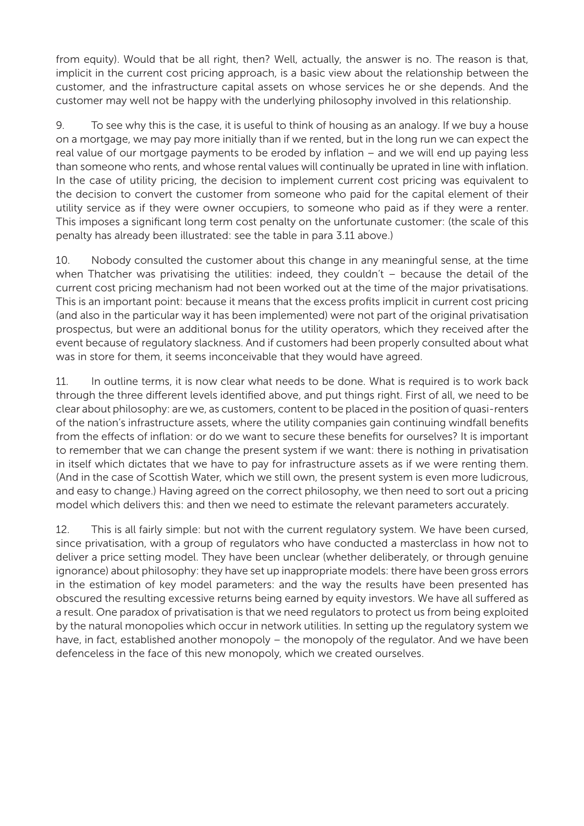from equity). Would that be all right, then? Well, actually, the answer is no. The reason is that, implicit in the current cost pricing approach, is a basic view about the relationship between the customer, and the infrastructure capital assets on whose services he or she depends. And the customer may well not be happy with the underlying philosophy involved in this relationship.

9. To see why this is the case, it is useful to think of housing as an analogy. If we buy a house on a mortgage, we may pay more initially than if we rented, but in the long run we can expect the real value of our mortgage payments to be eroded by inflation – and we will end up paying less than someone who rents, and whose rental values will continually be uprated in line with inflation. In the case of utility pricing, the decision to implement current cost pricing was equivalent to the decision to convert the customer from someone who paid for the capital element of their utility service as if they were owner occupiers, to someone who paid as if they were a renter. This imposes a significant long term cost penalty on the unfortunate customer: (the scale of this penalty has already been illustrated: see the table in para 3.11 above.)

10. Nobody consulted the customer about this change in any meaningful sense, at the time when Thatcher was privatising the utilities: indeed, they couldn't – because the detail of the current cost pricing mechanism had not been worked out at the time of the major privatisations. This is an important point: because it means that the excess profits implicit in current cost pricing (and also in the particular way it has been implemented) were not part of the original privatisation prospectus, but were an additional bonus for the utility operators, which they received after the event because of regulatory slackness. And if customers had been properly consulted about what was in store for them, it seems inconceivable that they would have agreed.

11. In outline terms, it is now clear what needs to be done. What is required is to work back through the three different levels identified above, and put things right. First of all, we need to be clear about philosophy: are we, as customers, content to be placed in the position of quasi-renters of the nation's infrastructure assets, where the utility companies gain continuing windfall benefits from the effects of inflation: or do we want to secure these benefits for ourselves? It is important to remember that we can change the present system if we want: there is nothing in privatisation in itself which dictates that we have to pay for infrastructure assets as if we were renting them. (And in the case of Scottish Water, which we still own, the present system is even more ludicrous, and easy to change.) Having agreed on the correct philosophy, we then need to sort out a pricing model which delivers this: and then we need to estimate the relevant parameters accurately.

12. This is all fairly simple: but not with the current regulatory system. We have been cursed, since privatisation, with a group of regulators who have conducted a masterclass in how not to deliver a price setting model. They have been unclear (whether deliberately, or through genuine ignorance) about philosophy: they have set up inappropriate models: there have been gross errors in the estimation of key model parameters: and the way the results have been presented has obscured the resulting excessive returns being earned by equity investors. We have all suffered as a result. One paradox of privatisation is that we need regulators to protect us from being exploited by the natural monopolies which occur in network utilities. In setting up the regulatory system we have, in fact, established another monopoly – the monopoly of the regulator. And we have been defenceless in the face of this new monopoly, which we created ourselves.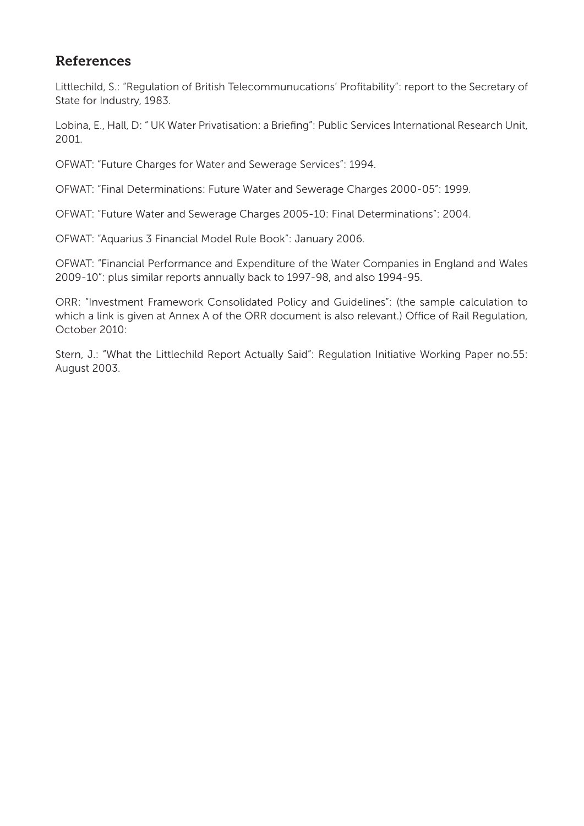# References

Littlechild, S.: "Regulation of British Telecommunucations' Profitability": report to the Secretary of State for Industry, 1983.

Lobina, E., Hall, D: " UK Water Privatisation: a Briefing": Public Services International Research Unit, 2001.

OFWAT: "Future Charges for Water and Sewerage Services": 1994.

OFWAT: "Final Determinations: Future Water and Sewerage Charges 2000-05": 1999.

OFWAT: "Future Water and Sewerage Charges 2005-10: Final Determinations": 2004.

OFWAT: "Aquarius 3 Financial Model Rule Book": January 2006.

OFWAT: "Financial Performance and Expenditure of the Water Companies in England and Wales 2009-10": plus similar reports annually back to 1997-98, and also 1994-95.

ORR: "Investment Framework Consolidated Policy and Guidelines": (the sample calculation to which a link is given at Annex A of the ORR document is also relevant.) Office of Rail Regulation, October 2010:

Stern, J.: "What the Littlechild Report Actually Said": Regulation Initiative Working Paper no.55: August 2003.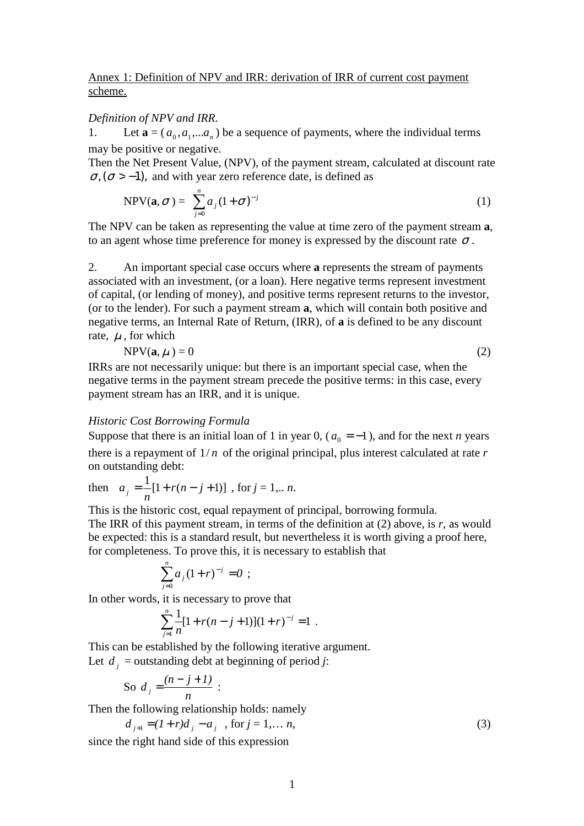#### Annex 1: Definition of NPV and IRR: derivation of IRR of current cost payment scheme.

#### *Definition of NPV and IRR.*

1. Let  $\mathbf{a} = (a_0, a_1, \dots, a_n)$  be a sequence of payments, where the individual terms may be positive or negative.

Then the Net Present Value, (NPV), of the payment stream, calculated at discount rate  $\sigma$ , ( $\sigma$  > -1), and with year zero reference date, is defined as

$$
\text{NPV}(\mathbf{a}, \sigma) = \sum_{j=0}^{n} a_j (1 + \sigma)^{-j} \tag{1}
$$

The NPV can be taken as representing the value at time zero of the payment stream **a**, to an agent whose time preference for money is expressed by the discount rate  $\sigma$ .

2. An important special case occurs where **a** represents the stream of payments associated with an investment, (or a loan). Here negative terms represent investment of capital, (or lending of money), and positive terms represent returns to the investor, (or to the lender). For such a payment stream **a**, which will contain both positive and negative terms, an Internal Rate of Return, (IRR), of **a** is defined to be any discount rate,  $\mu$ , for which

$$
NPV(\mathbf{a}, \mu) = 0 \tag{2}
$$

IRRs are not necessarily unique: but there is an important special case, when the negative terms in the payment stream precede the positive terms: in this case, every payment stream has an IRR, and it is unique.

#### *Historic Cost Borrowing Formula*

Suppose that there is an initial loan of 1 in year 0,  $(a_0 = -1)$ , and for the next *n* years there is a repayment of  $1/n$  of the original principal, plus interest calculated at rate  $r$ on outstanding debt:

then 
$$
a_j = \frac{1}{n} [1 + r(n - j + 1)]
$$
, for  $j = 1, ... n$ .

This is the historic cost, equal repayment of principal, borrowing formula. The IRR of this payment stream, in terms of the definition at (2) above, is *r*, as would be expected: this is a standard result, but nevertheless it is worth giving a proof here, for completeness. To prove this, it is necessary to establish that

$$
\sum_{j=0}^n a_j (1+r)^{-j} = 0 ;
$$

In other words, it is necessary to prove that

$$
\sum_{j=1}^{n} \frac{1}{n} [1 + r(n - j + 1)] (1 + r)^{-j} = 1.
$$

This can be established by the following iterative argument. Let  $d_j$  = outstanding debt at beginning of period *j*:

So 
$$
d_j = \frac{(n-j+1)}{n}:
$$

Then the following relationship holds: namely

$$
d_{j+1} = (1+r)d_j - a_j \quad \text{, for } j = 1, \dots n,
$$
\n(3)

since the right hand side of this expression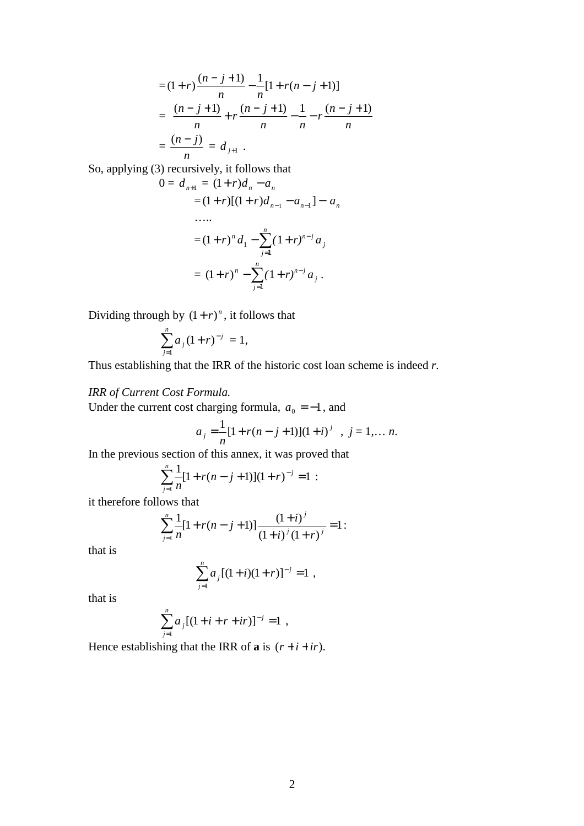$$
= (1+r)\frac{(n-j+1)}{n} - \frac{1}{n}[1+r(n-j+1)]
$$
  
= 
$$
\frac{(n-j+1)}{n} + r\frac{(n-j+1)}{n} - \frac{1}{n} - r\frac{(n-j+1)}{n}
$$
  
= 
$$
\frac{(n-j)}{n} = d_{j+1}.
$$

So, applying (3) recursively, it follows that

$$
0 = d_{n+1} = (1+r)d_n - a_n
$$
  
= (1+r)[(1+r)d\_{n-1} - a\_{n-1}] - a\_n  
......  
= (1+r)<sup>n</sup> d\_1 - \sum\_{j=1}^n (1+r)^{n-j} a\_j  
= (1+r)<sup>n</sup> - \sum\_{j=1}^n (1+r)^{n-j} a\_j.

Dividing through by  $(1 + r)^n$ , it follows that

$$
\sum_{j=1}^n a_j (1+r)^{-j} = 1,
$$

Thus establishing that the IRR of the historic cost loan scheme is indeed *r*.

#### *IRR of Current Cost Formula.*

Under the current cost charging formula,  $a_0 = -1$ , and

$$
a_j = \frac{1}{n} [1 + r(n - j + 1)] (1 + i)^j , j = 1,... n.
$$

In the previous section of this annex, it was proved that

$$
\sum_{j=1}^{n} \frac{1}{n} [1 + r(n-j+1)](1+r)^{-j} = 1 :
$$

it therefore follows that

$$
\sum_{j=1}^{n} \frac{1}{n} [1 + r(n-j+1)] \frac{(1+i)^j}{(1+i)^j (1+r)^j} = 1:
$$

that is

$$
\sum_{j=1}^n a_j [(1+i)(1+r)]^{-j} = 1 ,
$$

that is

$$
\sum_{j=1}^n a_j [(1+i+r+ir)]^{-j} = 1 ,
$$

Hence establishing that the IRR of **a** is  $(r + i + ir)$ .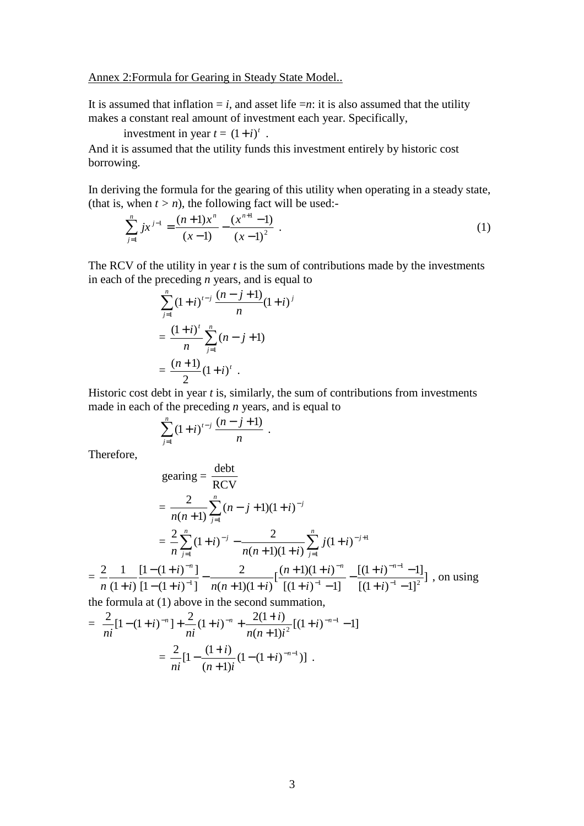Annex 2:Formula for Gearing in Steady State Model..

It is assumed that inflation  $=i$ , and asset life  $=n$ : it is also assumed that the utility makes a constant real amount of investment each year. Specifically,

investment in year  $t = (1 + i)^t$ .

And it is assumed that the utility funds this investment entirely by historic cost borrowing.

In deriving the formula for the gearing of this utility when operating in a steady state, (that is, when  $t > n$ ), the following fact will be used:-

$$
\sum_{j=1}^{n} jx^{j-1} = \frac{(n+1)x^{n}}{(x-1)} - \frac{(x^{n+1}-1)}{(x-1)^{2}}.
$$
 (1)

The RCV of the utility in year *t* is the sum of contributions made by the investments in each of the preceding *n* years, and is equal to

$$
\sum_{j=1}^{n} (1+i)^{t-j} \frac{(n-j+1)}{n} (1+i)^{j}
$$

$$
= \frac{(1+i)^{t}}{n} \sum_{j=1}^{n} (n-j+1)
$$

$$
= \frac{(n+1)}{2} (1+i)^{t} .
$$

Historic cost debt in year *t* is, similarly, the sum of contributions from investments made in each of the preceding *n* years, and is equal to

$$
\sum_{j=1}^n (1+i)^{t-j} \frac{(n-j+1)}{n} .
$$

Therefore,

$$
\text{gearing} = \frac{\text{debt}}{\text{RCV}}
$$
\n
$$
= \frac{2}{n(n+1)} \sum_{j=1}^{n} (n-j+1)(1+i)^{-j}
$$
\n
$$
= \frac{2}{n} \sum_{j=1}^{n} (1+i)^{-j} - \frac{2}{n(n+1)(1+i)} \sum_{j=1}^{n} j(1+i)^{-j+1}
$$
\n
$$
= \frac{2}{n} \frac{1}{(1+i)} \frac{[1-(1+i)^{-n}]}{[1-(1+i)^{-1}]} - \frac{2}{n(n+1)(1+i)} \left[ \frac{(n+1)(1+i)^{-n}}{[(1+i)^{-1} - 1]} - \frac{[(1+i)^{-n-1}-1]}{[(1+i)^{-1} - 1]^2} \right], \text{ on using the formula at (1) above in the second summation.}
$$

the formula at (1) above in the second summation,

$$
= \frac{2}{ni}[1-(1+i)^{-n}] + \frac{2}{ni}(1+i)^{-n} + \frac{2(1+i)}{n(n+1)i^2}[(1+i)^{-n-1}-1]
$$

$$
= \frac{2}{ni}[1-\frac{(1+i)}{(n+1)i}(1-(1+i)^{-n-1})].
$$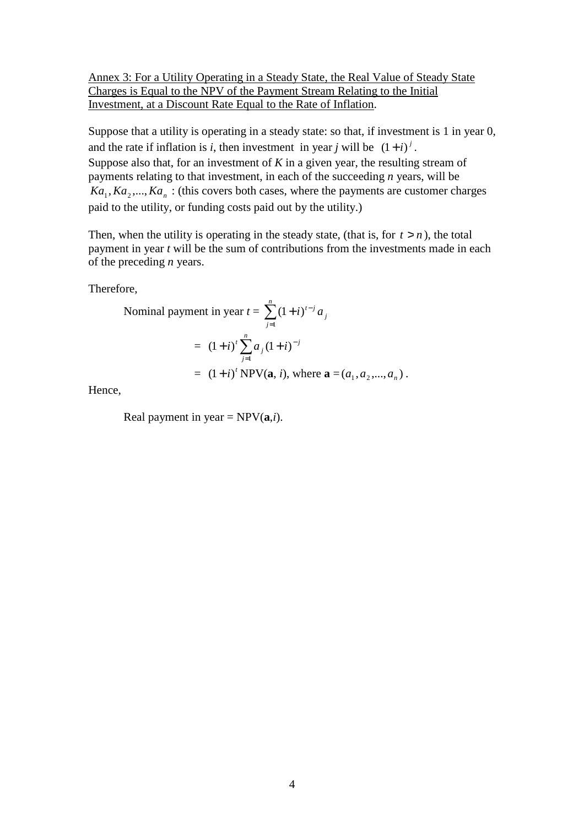Annex 3: For a Utility Operating in a Steady State, the Real Value of Steady State Charges is Equal to the NPV of the Payment Stream Relating to the Initial Investment, at a Discount Rate Equal to the Rate of Inflation.

Suppose that a utility is operating in a steady state: so that, if investment is 1 in year 0, and the rate if inflation is *i*, then investment in year *j* will be  $(1+i)^j$ . Suppose also that, for an investment of *K* in a given year, the resulting stream of payments relating to that investment, in each of the succeeding *n* years, will be  $Ka_1, Ka_2, \ldots, Ka_n$ : (this covers both cases, where the payments are customer charges paid to the utility, or funding costs paid out by the utility.)

Then, when the utility is operating in the steady state, (that is, for  $t > n$ ), the total payment in year *t* will be the sum of contributions from the investments made in each of the preceding *n* years.

Therefore,

Nominal payment in year 
$$
t = \sum_{j=1}^{n} (1+i)^{t-j} a_j
$$

\n
$$
= (1+i)^t \sum_{j=1}^{n} a_j (1+i)^{-j}
$$
\n
$$
= (1+i)^t \text{NPV}(\mathbf{a}, i), \text{ where } \mathbf{a} = (a_1, a_2, \dots, a_n).
$$

Hence,

Real payment in year =  $NPV(a,i)$ .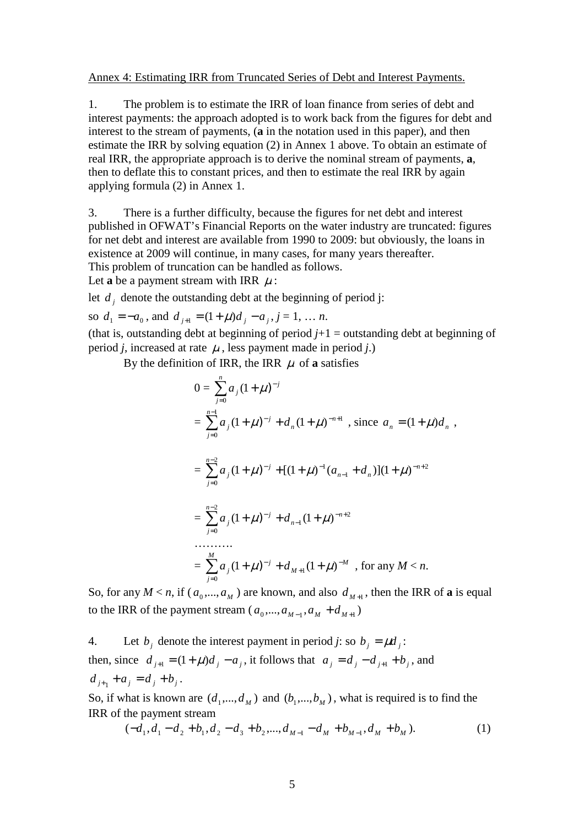#### Annex 4: Estimating IRR from Truncated Series of Debt and Interest Payments.

1. The problem is to estimate the IRR of loan finance from series of debt and interest payments: the approach adopted is to work back from the figures for debt and interest to the stream of payments, (**a** in the notation used in this paper), and then estimate the IRR by solving equation (2) in Annex 1 above. To obtain an estimate of real IRR, the appropriate approach is to derive the nominal stream of payments, **a**, then to deflate this to constant prices, and then to estimate the real IRR by again applying formula (2) in Annex 1.

3. There is a further difficulty, because the figures for net debt and interest published in OFWAT's Financial Reports on the water industry are truncated: figures for net debt and interest are available from 1990 to 2009: but obviously, the loans in existence at 2009 will continue, in many cases, for many years thereafter. This problem of truncation can be handled as follows.

Let **a** be a payment stream with IRR  $\mu$ :

let  $d_j$  denote the outstanding debt at the beginning of period j:

so  $d_1 = -a_0$ , and  $d_{j+1} = (1 + \mu)d_j - a_j$ ,  $j = 1, \dots n$ .

(that is, outstanding debt at beginning of period  $j+1$  = outstanding debt at beginning of period *j*, increased at rate  $\mu$ , less payment made in period *j*.)

By the definition of IRR, the IRR  $\mu$  of **a** satisfies

$$
0 = \sum_{j=0}^{n} a_j (1 + \mu)^{-j}
$$
  
= 
$$
\sum_{j=0}^{n-1} a_j (1 + \mu)^{-j} + d_n (1 + \mu)^{-n+1}
$$
, since  $a_n = (1 + \mu)d_n$ ,  
= 
$$
\sum_{j=0}^{n-2} a_j (1 + \mu)^{-j} + [(1 + \mu)^{-1} (a_{n-1} + d_n)](1 + \mu)^{-n+2}
$$
  
= 
$$
\sum_{j=0}^{n-2} a_j (1 + \mu)^{-j} + d_{n-1} (1 + \mu)^{-n+2}
$$
  
........  
= 
$$
\sum_{j=0}^{M} a_j (1 + \mu)^{-j} + d_{M+1} (1 + \mu)^{-M}
$$
, for any  $M < n$ .

So, for any  $M < n$ , if  $(a_0, ..., a_M)$  are known, and also  $d_{M+1}$ , then the IRR of **a** is equal to the IRR of the payment stream  $(a_0, ..., a_{M-1}, a_M + d_{M+1})$ 

4. Let  $b_j$  denote the interest payment in period *j*: so  $b_j = \mu d_j$ : then, since  $d_{j+1} = (1 + \mu)d_j - a_j$ , it follows that  $a_j = d_j - d_{j+1} + b_j$ , and  $d_{j+1} + a_j = d_j + b_j.$ 

So, if what is known are  $(d_1, ..., d_M)$  and  $(b_1, ..., b_M)$ , what is required is to find the IRR of the payment stream

$$
(-d_1, d_1 - d_2 + b_1, d_2 - d_3 + b_2, \dots, d_{M-1} - d_M + b_{M-1}, d_M + b_M).
$$
 (1)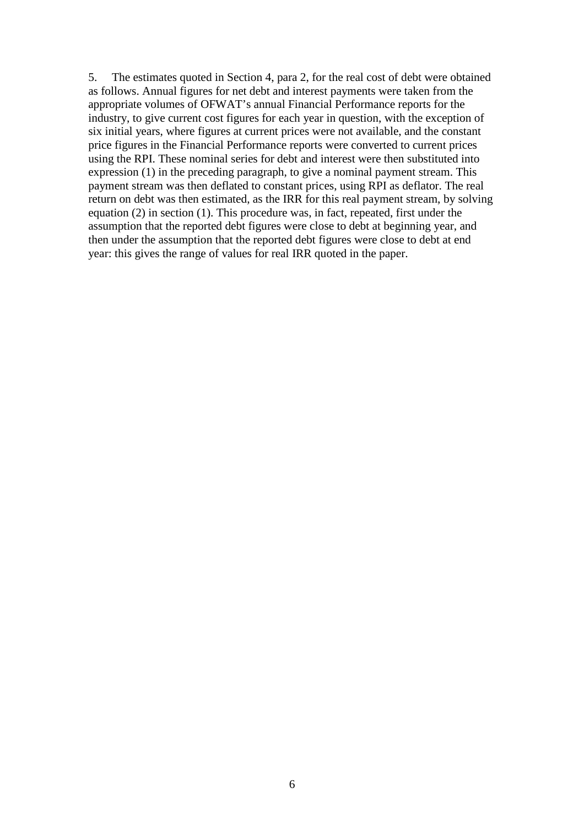5. The estimates quoted in Section 4, para 2, for the real cost of debt were obtained as follows. Annual figures for net debt and interest payments were taken from the appropriate volumes of OFWAT's annual Financial Performance reports for the industry, to give current cost figures for each year in question, with the exception of six initial years, where figures at current prices were not available, and the constant price figures in the Financial Performance reports were converted to current prices using the RPI. These nominal series for debt and interest were then substituted into expression (1) in the preceding paragraph, to give a nominal payment stream. This payment stream was then deflated to constant prices, using RPI as deflator. The real return on debt was then estimated, as the IRR for this real payment stream, by solving equation (2) in section (1). This procedure was, in fact, repeated, first under the assumption that the reported debt figures were close to debt at beginning year, and then under the assumption that the reported debt figures were close to debt at end year: this gives the range of values for real IRR quoted in the paper.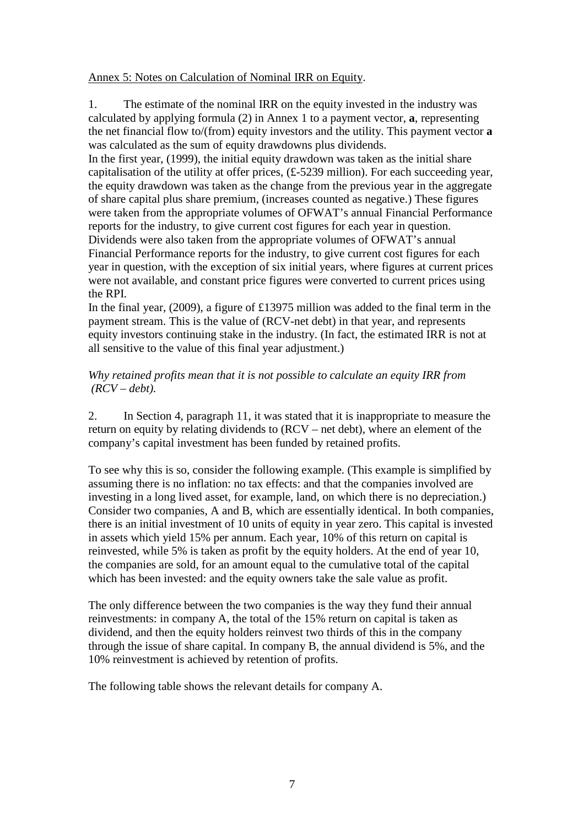Annex 5: Notes on Calculation of Nominal IRR on Equity.

1. The estimate of the nominal IRR on the equity invested in the industry was calculated by applying formula (2) in Annex 1 to a payment vector, **a**, representing the net financial flow to/(from) equity investors and the utility. This payment vector **a** was calculated as the sum of equity drawdowns plus dividends.

In the first year, (1999), the initial equity drawdown was taken as the initial share capitalisation of the utility at offer prices, (£-5239 million). For each succeeding year, the equity drawdown was taken as the change from the previous year in the aggregate of share capital plus share premium, (increases counted as negative.) These figures were taken from the appropriate volumes of OFWAT's annual Financial Performance reports for the industry, to give current cost figures for each year in question. Dividends were also taken from the appropriate volumes of OFWAT's annual Financial Performance reports for the industry, to give current cost figures for each year in question, with the exception of six initial years, where figures at current prices were not available, and constant price figures were converted to current prices using the RPI.

In the final year, (2009), a figure of £13975 million was added to the final term in the payment stream. This is the value of (RCV-net debt) in that year, and represents equity investors continuing stake in the industry. (In fact, the estimated IRR is not at all sensitive to the value of this final year adjustment.)

#### *Why retained profits mean that it is not possible to calculate an equity IRR from (RCV – debt).*

2. In Section 4, paragraph 11, it was stated that it is inappropriate to measure the return on equity by relating dividends to (RCV – net debt), where an element of the company's capital investment has been funded by retained profits.

To see why this is so, consider the following example. (This example is simplified by assuming there is no inflation: no tax effects: and that the companies involved are investing in a long lived asset, for example, land, on which there is no depreciation.) Consider two companies, A and B, which are essentially identical. In both companies, there is an initial investment of 10 units of equity in year zero. This capital is invested in assets which yield 15% per annum. Each year, 10% of this return on capital is reinvested, while 5% is taken as profit by the equity holders. At the end of year 10, the companies are sold, for an amount equal to the cumulative total of the capital which has been invested: and the equity owners take the sale value as profit.

The only difference between the two companies is the way they fund their annual reinvestments: in company A, the total of the 15% return on capital is taken as dividend, and then the equity holders reinvest two thirds of this in the company through the issue of share capital. In company B, the annual dividend is 5%, and the 10% reinvestment is achieved by retention of profits.

The following table shows the relevant details for company A.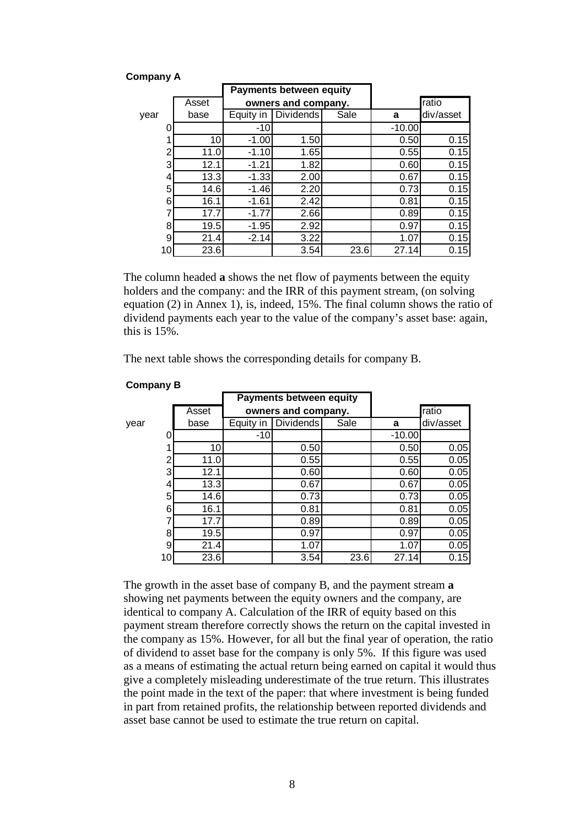| <b>Company A</b> |  |
|------------------|--|
|------------------|--|

|      |    |       | <b>Payments between equity</b> |                  |      |          |           |
|------|----|-------|--------------------------------|------------------|------|----------|-----------|
|      |    | Asset | owners and company.            |                  |      |          | ratio     |
| vear |    | base  | Equity in                      | <b>Dividends</b> | Sale | a        | div/asset |
|      | 0  |       | -10                            |                  |      | $-10.00$ |           |
|      | 1  | 10    | $-1.00$                        | 1.50             |      | 0.50     | 0.15      |
|      | 2  | 11.0  | $-1.10$                        | 1.65             |      | 0.55     | 0.15      |
|      | 3  | 12.1  | $-1.21$                        | 1.82             |      | 0.60     | 0.15      |
|      | 4  | 13.3  | $-1.33$                        | 2.00             |      | 0.67     | 0.15      |
|      | 5  | 14.6  | $-1.46$                        | 2.20             |      | 0.73     | 0.15      |
|      | 6  | 16.1  | $-1.61$                        | 2.42             |      | 0.81     | 0.15      |
|      | 7  | 17.7  | $-1.77$                        | 2.66             |      | 0.89     | 0.15      |
|      | 8  | 19.5  | $-1.95$                        | 2.92             |      | 0.97     | 0.15      |
|      | 9  | 21.4  | $-2.14$                        | 3.22             |      | 1.07     | 0.15      |
|      | 10 | 23.6  |                                | 3.54             | 23.6 | 27.14    | 0.15      |

The column headed **a** shows the net flow of payments between the equity holders and the company: and the IRR of this payment stream, (on solving equation (2) in Annex 1), is, indeed, 15%. The final column shows the ratio of dividend payments each year to the value of the company's asset base: again, this is 15%.

The next table shows the corresponding details for company B.

|      |       |                     | <b>Payments between equity</b> |      |          |           |
|------|-------|---------------------|--------------------------------|------|----------|-----------|
|      | Asset | owners and company. |                                |      |          | ratio     |
| year | base  | Equity in           | <b>Dividends</b>               | Sale | a        | div/asset |
|      |       | -10                 |                                |      | $-10.00$ |           |
|      | 10    |                     | 0.50                           |      | 0.50     | 0.05      |
| 2    | 11.0  |                     | 0.55                           |      | 0.55     | 0.05      |
| 3    | 12.1  |                     | 0.60                           |      | 0.60     | 0.05      |
| 4    | 13.3  |                     | 0.67                           |      | 0.67     | 0.05      |
| 5    | 14.6  |                     | 0.73                           |      | 0.73     | 0.05      |
| 6    | 16.1  |                     | 0.81                           |      | 0.81     | 0.05      |
|      | 17.7  |                     | 0.89                           |      | 0.89     | 0.05      |
| 8    | 19.5  |                     | 0.97                           |      | 0.97     | 0.05      |
| 9    | 21.4  |                     | 1.07                           |      | 1.07     | 0.05      |
| 10   | 23.6  |                     | 3.54                           | 23.6 | 27.14    | 0.15      |

#### **Company B**

The growth in the asset base of company B, and the payment stream **a** showing net payments between the equity owners and the company, are identical to company A. Calculation of the IRR of equity based on this payment stream therefore correctly shows the return on the capital invested in the company as 15%. However, for all but the final year of operation, the ratio of dividend to asset base for the company is only 5%. If this figure was used as a means of estimating the actual return being earned on capital it would thus give a completely misleading underestimate of the true return. This illustrates the point made in the text of the paper: that where investment is being funded in part from retained profits, the relationship between reported dividends and asset base cannot be used to estimate the true return on capital.